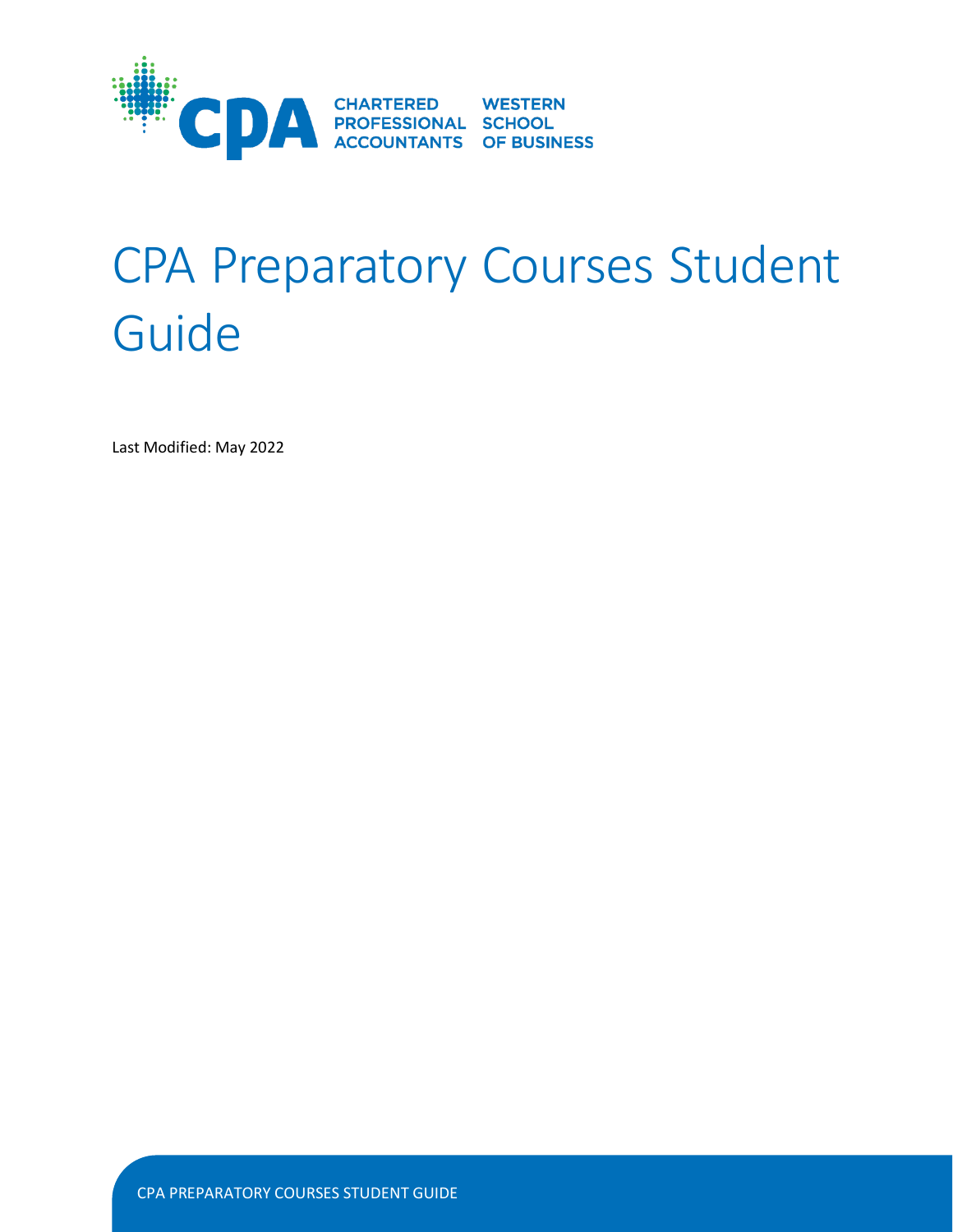

# CPA Preparatory Courses Student Guide

Last Modified: May 2022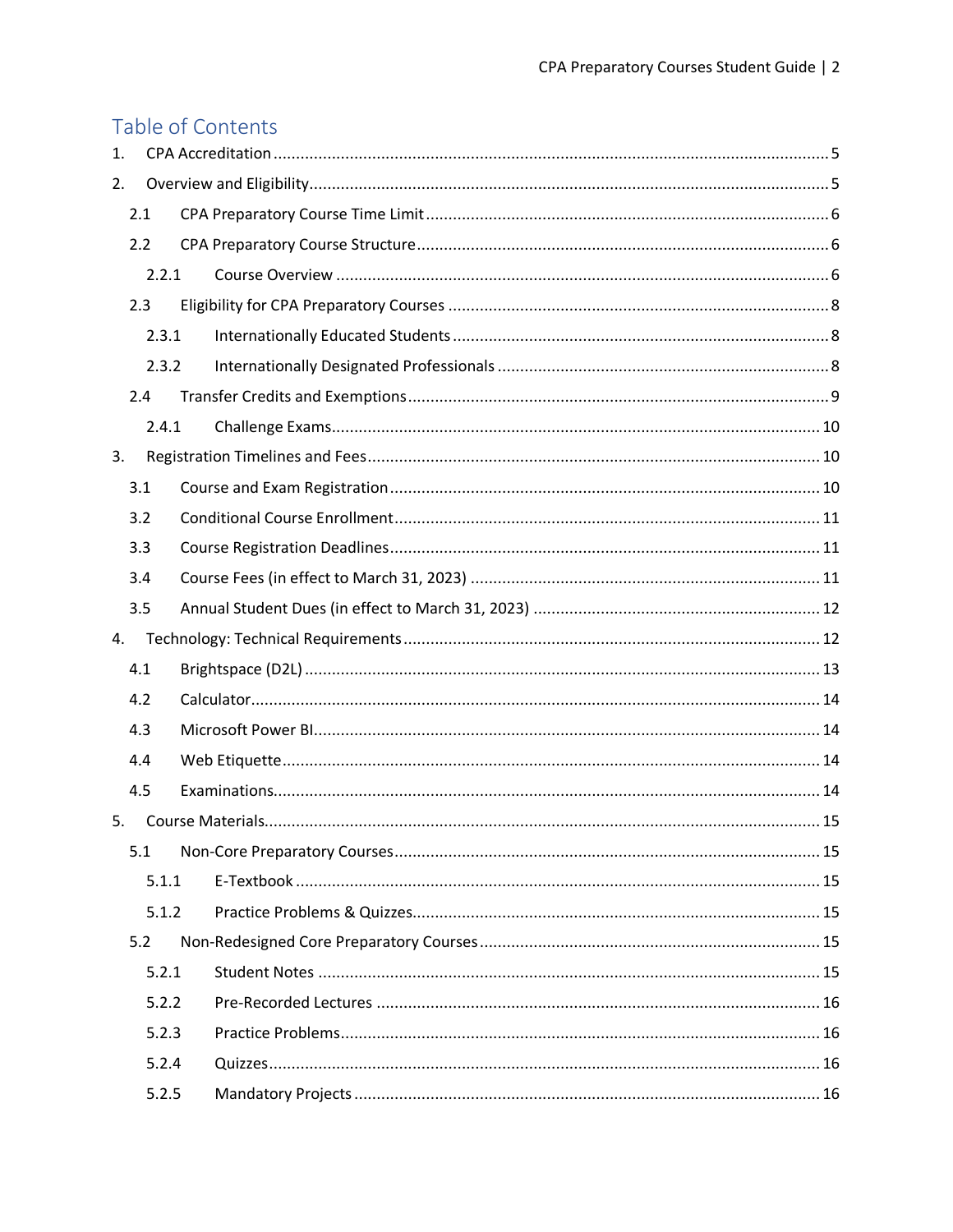# Table of Contents

| 1. |     |       |  |  |
|----|-----|-------|--|--|
| 2. |     |       |  |  |
|    | 2.1 |       |  |  |
|    | 2.2 |       |  |  |
|    |     | 2.2.1 |  |  |
|    | 2.3 |       |  |  |
|    |     | 2.3.1 |  |  |
|    |     | 2.3.2 |  |  |
|    | 2.4 |       |  |  |
|    |     | 2.4.1 |  |  |
| 3. |     |       |  |  |
|    | 3.1 |       |  |  |
|    | 3.2 |       |  |  |
|    | 3.3 |       |  |  |
|    | 3.4 |       |  |  |
|    | 3.5 |       |  |  |
|    |     |       |  |  |
| 4. |     |       |  |  |
|    | 4.1 |       |  |  |
|    | 4.2 |       |  |  |
|    | 4.3 |       |  |  |
|    | 4.4 |       |  |  |
|    | 4.5 |       |  |  |
| 5. |     |       |  |  |
|    | 5.1 |       |  |  |
|    |     | 5.1.1 |  |  |
|    |     | 5.1.2 |  |  |
|    | 5.2 |       |  |  |
|    |     | 5.2.1 |  |  |
|    |     | 5.2.2 |  |  |
|    |     | 5.2.3 |  |  |
|    |     | 5.2.4 |  |  |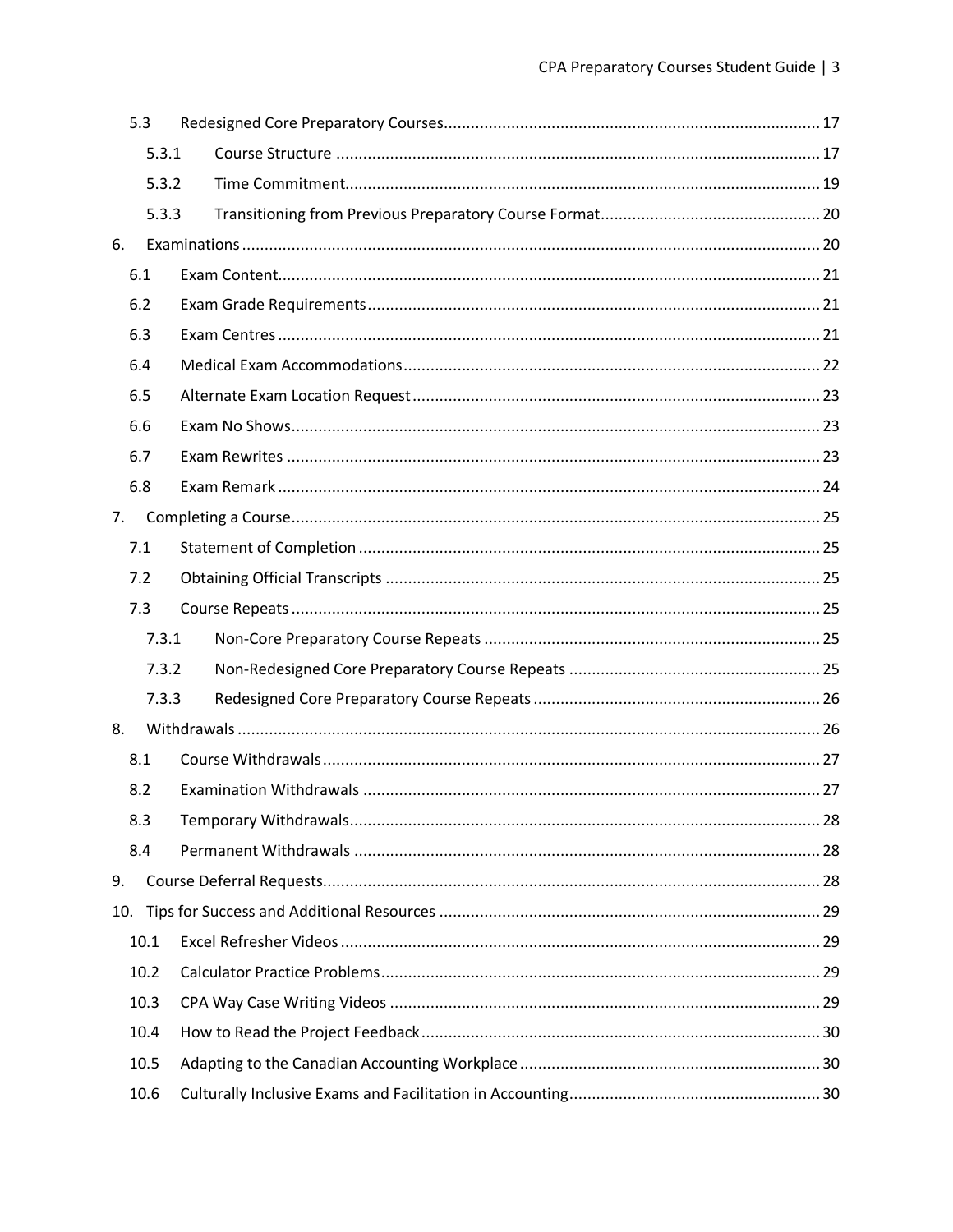|    | 5.3   |  |
|----|-------|--|
|    | 5.3.1 |  |
|    | 5.3.2 |  |
|    | 5.3.3 |  |
| 6. |       |  |
|    | 6.1   |  |
|    | 6.2   |  |
|    | 6.3   |  |
|    | 6.4   |  |
|    | 6.5   |  |
|    | 6.6   |  |
|    | 6.7   |  |
|    | 6.8   |  |
| 7. |       |  |
|    | 7.1   |  |
|    | 7.2   |  |
|    | 7.3   |  |
|    | 7.3.1 |  |
|    | 7.3.2 |  |
|    | 7.3.3 |  |
| 8. |       |  |
|    | 8.1   |  |
|    | 8.2   |  |
|    | 8.3   |  |
|    | 8.4   |  |
| 9. |       |  |
|    |       |  |
|    | 10.1  |  |
|    | 10.2  |  |
|    | 10.3  |  |
|    | 10.4  |  |
|    | 10.5  |  |
|    | 10.6  |  |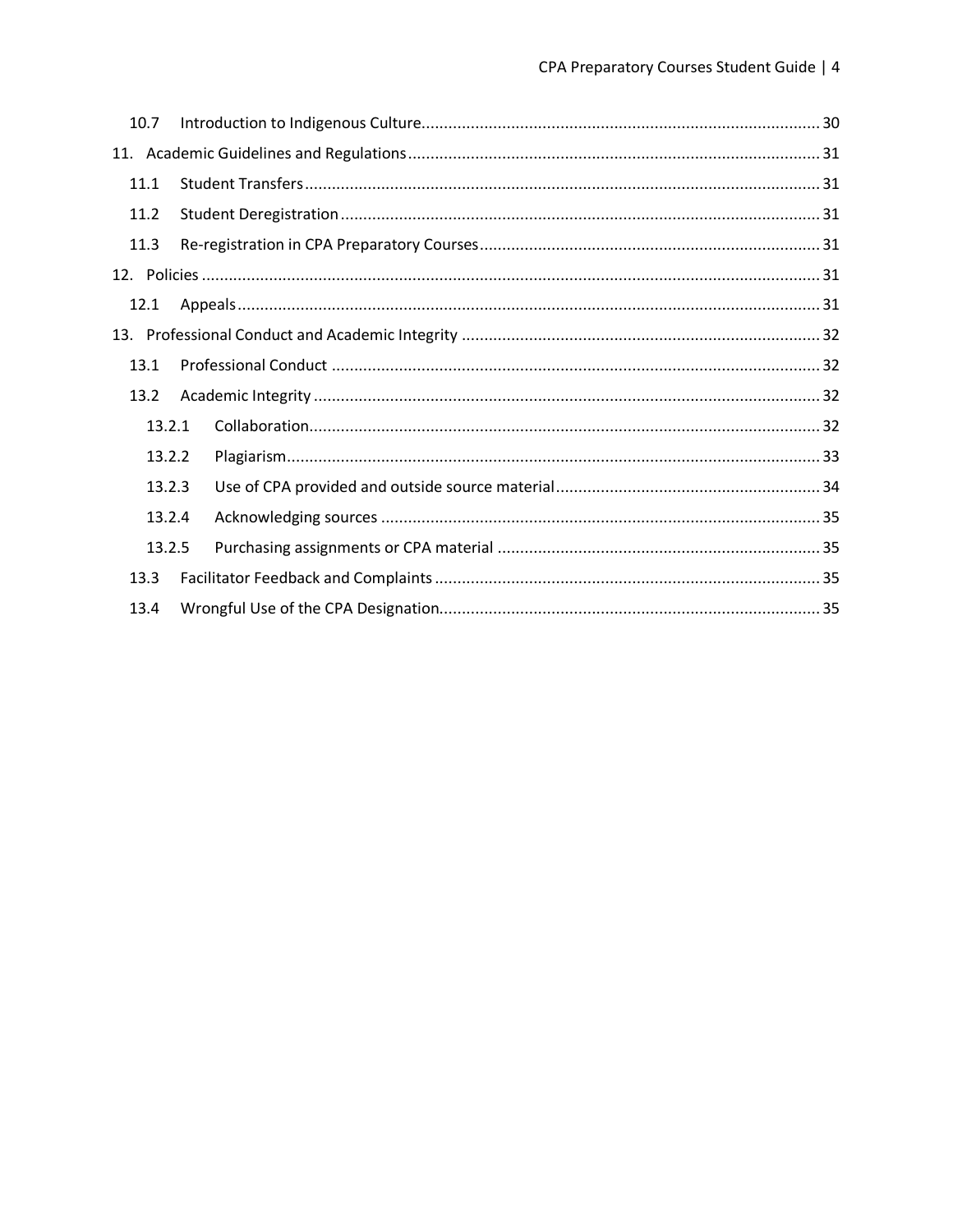| 10.7   |  |  |
|--------|--|--|
|        |  |  |
| 11.1   |  |  |
| 11.2   |  |  |
| 11.3   |  |  |
|        |  |  |
| 12.1   |  |  |
|        |  |  |
| 13.1   |  |  |
| 13.2   |  |  |
| 13.2.1 |  |  |
| 13.2.2 |  |  |
| 13.2.3 |  |  |
| 13.2.4 |  |  |
| 13.2.5 |  |  |
| 13.3   |  |  |
| 13.4   |  |  |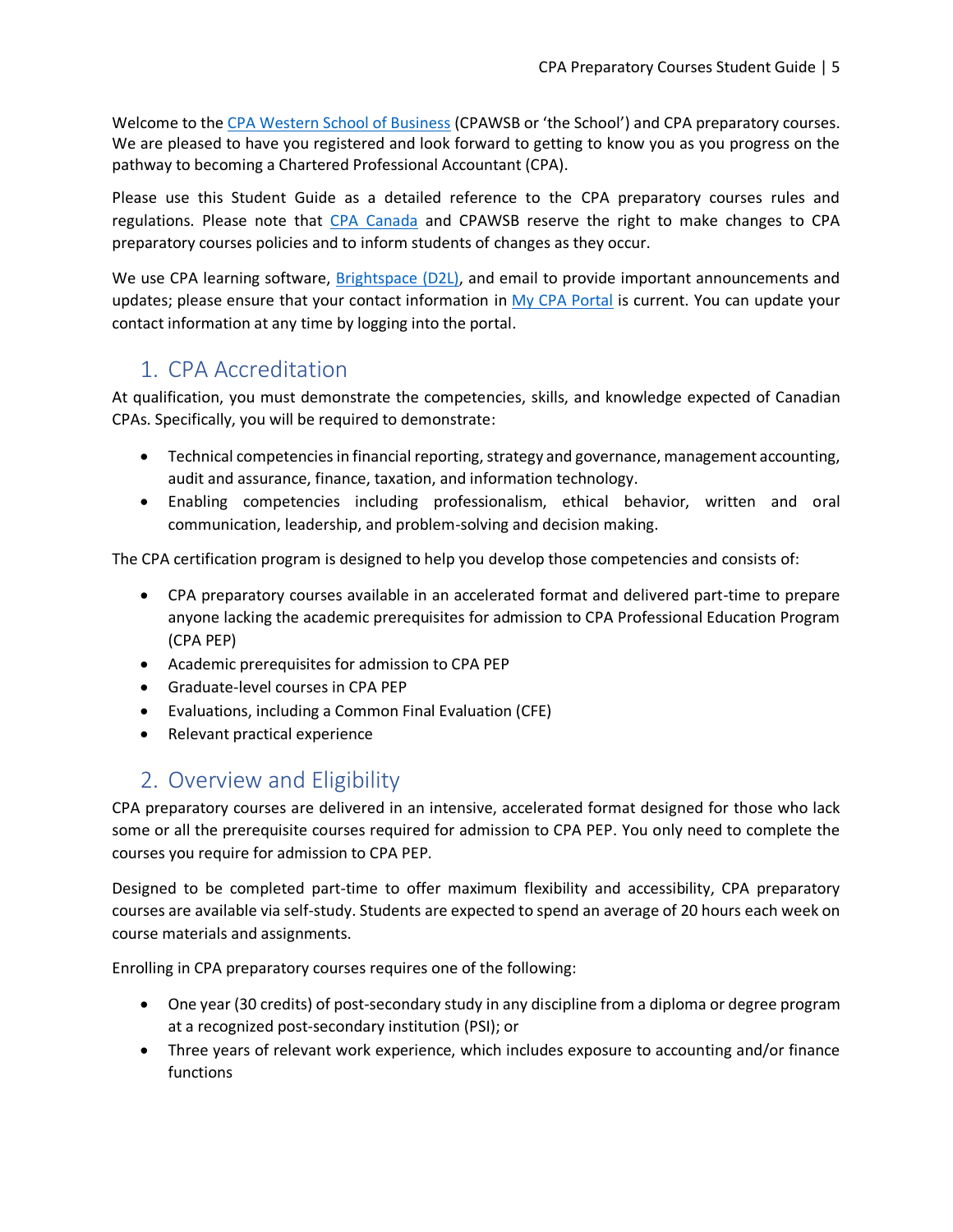Welcome to the [CPA Western School of Business](http://www.cpawsb.ca/) (CPAWSB or 'the School') and CPA preparatory courses. We are pleased to have you registered and look forward to getting to know you as you progress on the pathway to becoming a Chartered Professional Accountant (CPA).

Please use this Student Guide as a detailed reference to the CPA preparatory courses rules and regulations. Please note that [CPA Canada](https://www.cpacanada.ca/) and CPAWSB reserve the right to make changes to CPA preparatory courses policies and to inform students of changes as they occur.

We use CPA learning software, [Brightspace](https://education.cpacanada.ca/d2l/loginh/) (D2L), and email to provide important announcements and updates; please ensure that your contact information in [My CPA Portal](https://my.cpawsb.ca/) is current. You can update your contact information at any time by logging into the portal.

# <span id="page-4-0"></span>1. CPA Accreditation

At qualification, you must demonstrate the competencies, skills, and knowledge expected of Canadian CPAs. Specifically, you will be required to demonstrate:

- Technical competencies in financial reporting, strategy and governance, management accounting, audit and assurance, finance, taxation, and information technology.
- Enabling competencies including professionalism, ethical behavior, written and oral communication, leadership, and problem-solving and decision making.

The CPA certification program is designed to help you develop those competencies and consists of:

- CPA preparatory courses available in an accelerated format and delivered part-time to prepare anyone lacking the academic prerequisites for admission to CPA Professional Education Program (CPA PEP)
- Academic prerequisites for admission to CPA PEP
- Graduate-level courses in CPA PEP
- Evaluations, including a Common Final Evaluation (CFE)
- Relevant practical experience

# <span id="page-4-1"></span>2. Overview and Eligibility

CPA preparatory courses are delivered in an intensive, accelerated format designed for those who lack some or all the prerequisite courses required for admission to CPA PEP. You only need to complete the courses you require for admission to CPA PEP.

Designed to be completed part-time to offer maximum flexibility and accessibility, CPA preparatory courses are available via self-study. Students are expected to spend an average of 20 hours each week on course materials and assignments.

Enrolling in CPA preparatory courses requires one of the following:

- One year (30 credits) of post-secondary study in any discipline from a diploma or degree program at a recognized post-secondary institution (PSI); or
- Three years of relevant work experience, which includes exposure to accounting and/or finance functions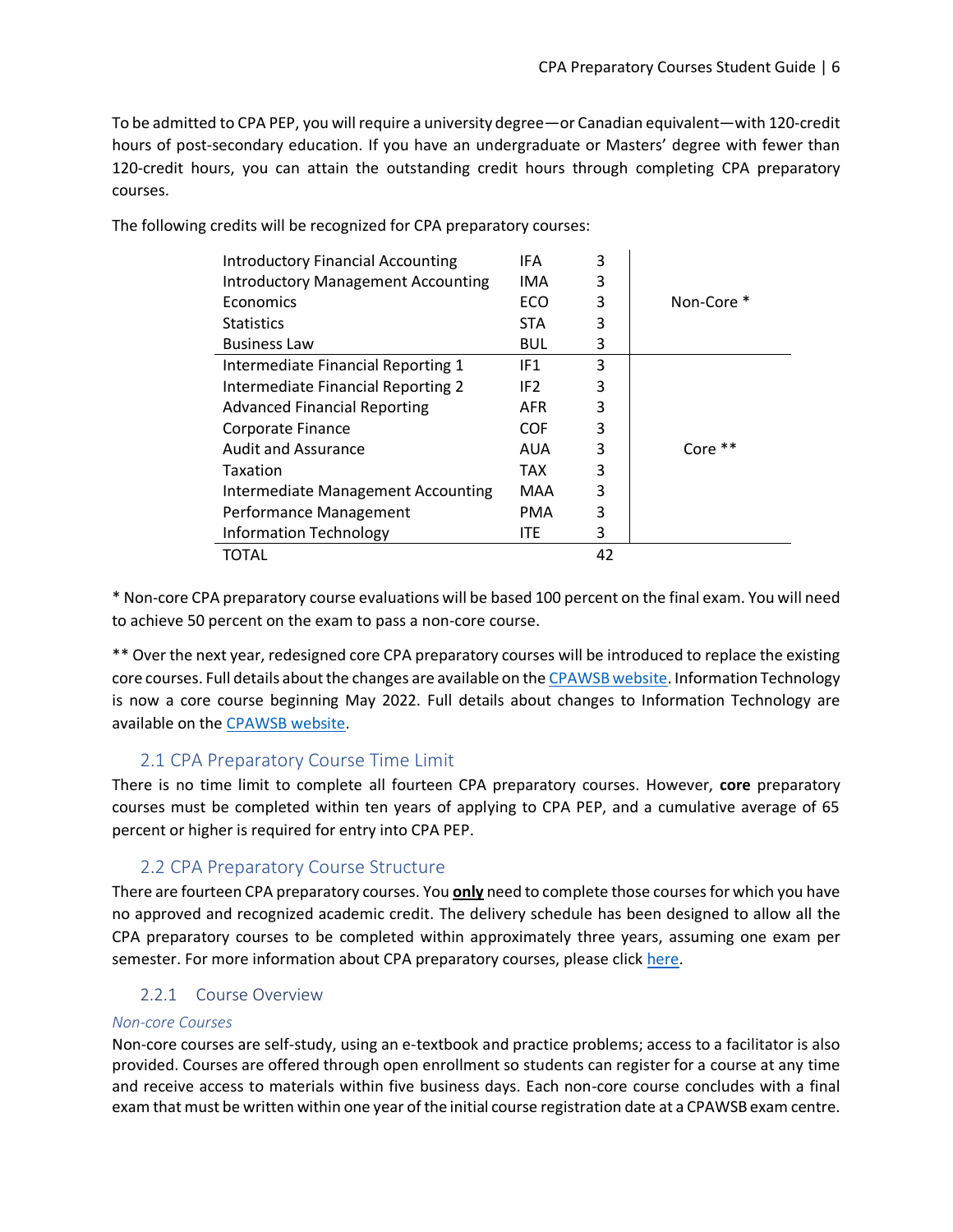To be admitted to CPA PEP, you will require a university degree—or Canadian equivalent—with 120-credit hours of post-secondary education. If you have an undergraduate or Masters' degree with fewer than 120-credit hours, you can attain the outstanding credit hours through completing CPA preparatory courses.

| <b>Introductory Financial Accounting</b>  | IFA             | 3  |            |
|-------------------------------------------|-----------------|----|------------|
| <b>Introductory Management Accounting</b> | IMA             | 3  |            |
| Economics                                 | ECO             | 3  | Non-Core * |
| <b>Statistics</b>                         | <b>STA</b>      | 3  |            |
| <b>Business Law</b>                       | BUL.            | 3  |            |
| Intermediate Financial Reporting 1        | IF1             | 3  |            |
| Intermediate Financial Reporting 2        | IF <sub>2</sub> | 3  |            |
| <b>Advanced Financial Reporting</b>       | AFR             | 3  |            |
| Corporate Finance                         | <b>COF</b>      | 3  |            |
| <b>Audit and Assurance</b>                | AUA             | 3  | Core **    |
| Taxation                                  | TAX             | 3  |            |
| Intermediate Management Accounting        | MAA             | 3  |            |
| Performance Management                    | PMA             | 3  |            |
| <b>Information Technology</b>             | ITE             | 3  |            |
| TOTAL                                     |                 | 42 |            |

The following credits will be recognized for CPA preparatory courses:

\* Non-core CPA preparatory course evaluations will be based 100 percent on the final exam. You will need to achieve 50 percent on the exam to pass a non-core course.

\*\* Over the next year, redesigned core CPA preparatory courses will be introduced to replace the existing core courses. Full details about the changes are available on the [CPAWSB website.](https://www.cpawsb.ca/current-learners/cpa-preparatory-courses/faq/course-delivery-faq/#ResdesignedCore) Information Technology is now a core course beginning May 2022. Full details about changes to Information Technology are available on the [CPAWSB website.](https://www.cpawsb.ca/future-learners/certification-program-overview/cpa-preparatory-courses-overview/upcoming-changes-to-cpa-pep-prerequisites)

## 2.1 CPA Preparatory Course Time Limit

<span id="page-5-0"></span>There is no time limit to complete all fourteen CPA preparatory courses. However, **core** preparatory courses must be completed within ten years of applying to CPA PEP, and a cumulative average of 65 percent or higher is required for entry into CPA PEP.

## 2.2 CPA Preparatory Course Structure

<span id="page-5-1"></span>There are fourteen CPA preparatory courses. You **only** need to complete those courses for which you have no approved and recognized academic credit. The delivery schedule has been designed to allow all the CPA preparatory courses to be completed within approximately three years, assuming one exam per semester. For more information about CPA preparatory courses, please clic[k here.](https://www.cpawsb.ca/current-learners/cpa-preparatory-courses/courses/)

#### 2.2.1 Course Overview

#### <span id="page-5-2"></span>*Non-core Courses*

Non-core courses are self-study, using an e-textbook and practice problems; access to a facilitator is also provided. Courses are offered through open enrollment so students can register for a course at any time and receive access to materials within five business days. Each non-core course concludes with a final exam that must be written within one year of the initial course registration date at a CPAWSB exam centre.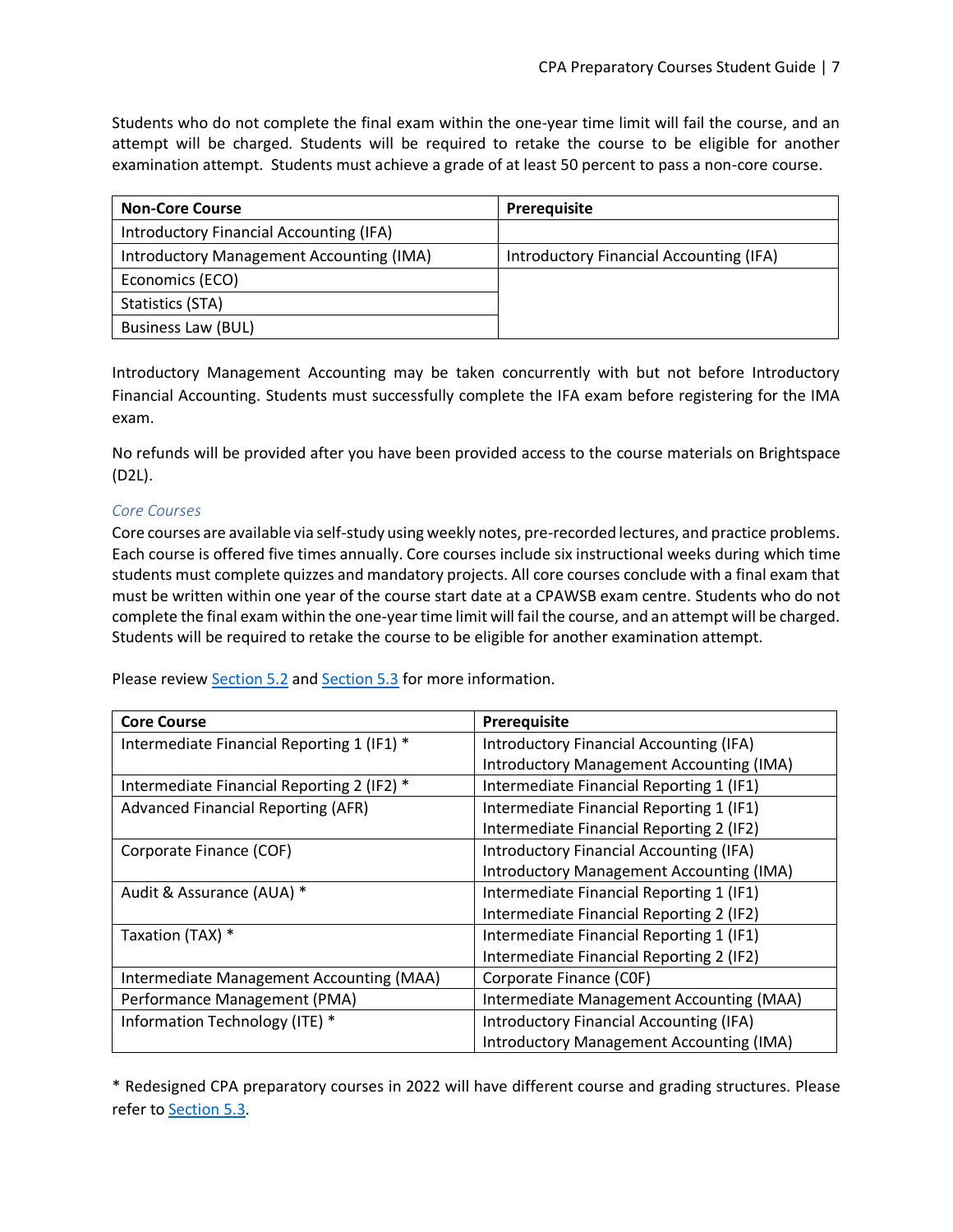Students who do not complete the final exam within the one-year time limit will fail the course, and an attempt will be charged. Students will be required to retake the course to be eligible for another examination attempt. Students must achieve a grade of at least 50 percent to pass a non-core course.

| <b>Non-Core Course</b>                   | <b>Prerequisite</b>                     |  |
|------------------------------------------|-----------------------------------------|--|
| Introductory Financial Accounting (IFA)  |                                         |  |
| Introductory Management Accounting (IMA) | Introductory Financial Accounting (IFA) |  |
| Economics (ECO)                          |                                         |  |
| Statistics (STA)                         |                                         |  |
| <b>Business Law (BUL)</b>                |                                         |  |

Introductory Management Accounting may be taken concurrently with but not before Introductory Financial Accounting. Students must successfully complete the IFA exam before registering for the IMA exam.

No refunds will be provided after you have been provided access to the course materials on Brightspace (D2L).

#### *Core Courses*

Core courses are available via self-study using weekly notes, pre-recorded lectures, and practice problems. Each course is offered five times annually. Core courses include six instructional weeks during which time students must complete quizzes and mandatory projects. All core courses conclude with a final exam that must be written within one year of the course start date at a CPAWSB exam centre. Students who do not complete the final exam within the one-year time limit will fail the course, and an attempt will be charged. Students will be required to retake the course to be eligible for another examination attempt.

Please review [Section 5.2](#page-14-4) and [Section 5.3](#page-16-0) for more information.

| <b>Core Course</b>                         | Prerequisite                                    |
|--------------------------------------------|-------------------------------------------------|
| Intermediate Financial Reporting 1 (IF1) * | Introductory Financial Accounting (IFA)         |
|                                            | <b>Introductory Management Accounting (IMA)</b> |
| Intermediate Financial Reporting 2 (IF2) * | Intermediate Financial Reporting 1 (IF1)        |
| <b>Advanced Financial Reporting (AFR)</b>  | Intermediate Financial Reporting 1 (IF1)        |
|                                            | Intermediate Financial Reporting 2 (IF2)        |
| Corporate Finance (COF)                    | <b>Introductory Financial Accounting (IFA)</b>  |
|                                            | Introductory Management Accounting (IMA)        |
| Audit & Assurance (AUA) *                  | Intermediate Financial Reporting 1 (IF1)        |
|                                            | Intermediate Financial Reporting 2 (IF2)        |
| Taxation (TAX) *                           | Intermediate Financial Reporting 1 (IF1)        |
|                                            | Intermediate Financial Reporting 2 (IF2)        |
| Intermediate Management Accounting (MAA)   | Corporate Finance (COF)                         |
| Performance Management (PMA)               | Intermediate Management Accounting (MAA)        |
| Information Technology (ITE) *             | Introductory Financial Accounting (IFA)         |
|                                            | Introductory Management Accounting (IMA)        |

\* Redesigned CPA preparatory courses in 2022 will have different course and grading structures. Please refer to [Section 5.3.](#page-16-0)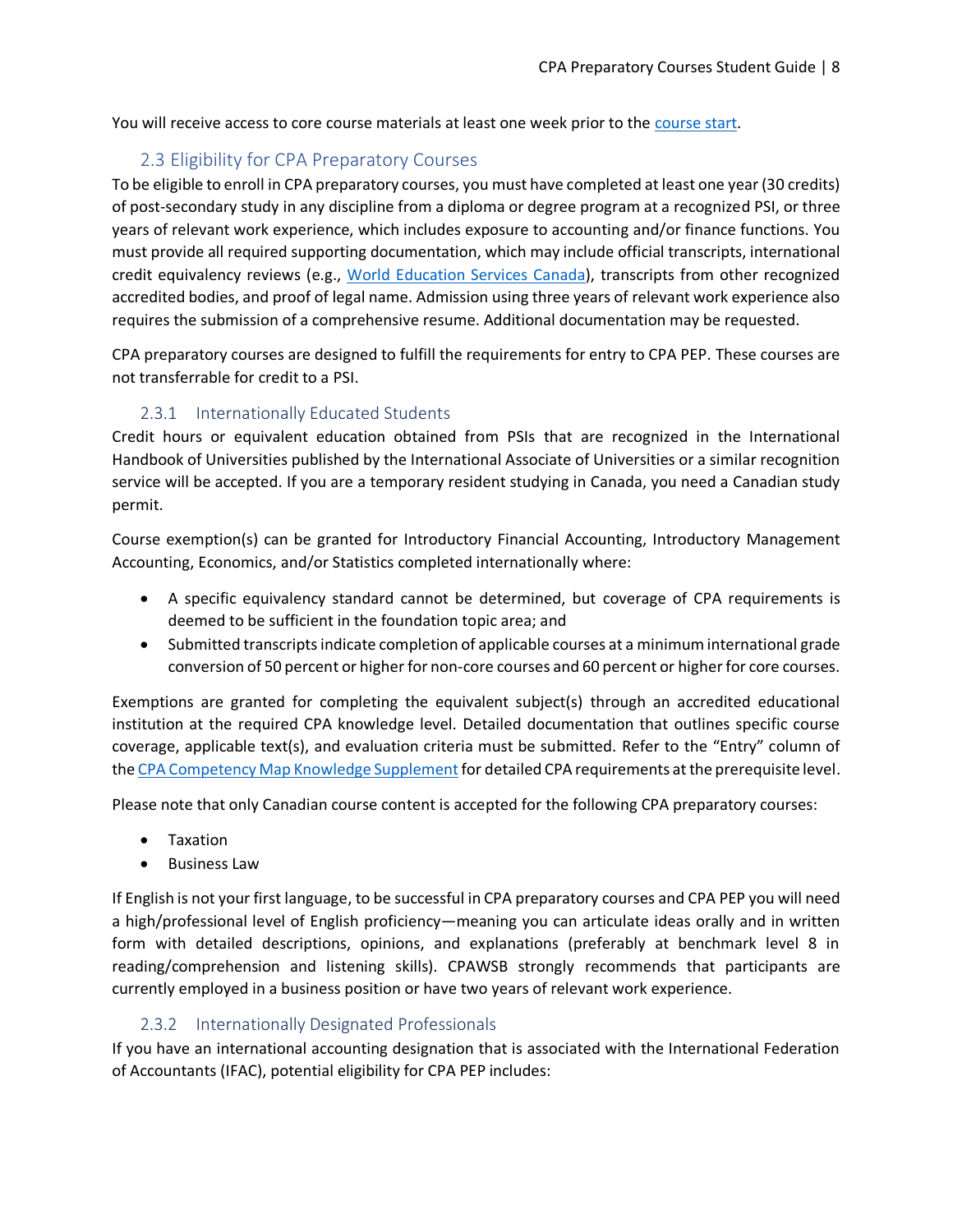You will receive access to core course materials at least one week prior to th[e course start.](https://www.cpawsb.ca/current-learners/cpa-preparatory-courses/schedules/)

# 2.3 Eligibility for CPA Preparatory Courses

<span id="page-7-0"></span>To be eligible to enroll in CPA preparatory courses, you must have completed at least one year (30 credits) of post-secondary study in any discipline from a diploma or degree program at a recognized PSI, or three years of relevant work experience, which includes exposure to accounting and/or finance functions. You must provide all required supporting documentation, which may include official transcripts, international credit equivalency reviews (e.g., [World Education Services Canada\)](http://www.wes.org/ca/students/index.asp), transcripts from other recognized accredited bodies, and proof of legal name. Admission using three years of relevant work experience also requires the submission of a comprehensive resume. Additional documentation may be requested.

CPA preparatory courses are designed to fulfill the requirements for entry to CPA PEP. These courses are not transferrable for credit to a PSI.

## 2.3.1 Internationally Educated Students

<span id="page-7-1"></span>Credit hours or equivalent education obtained from PSIs that are recognized in the International Handbook of Universities published by the International Associate of Universities or a similar recognition service will be accepted. If you are a temporary resident studying in Canada, you need a Canadian study permit.

Course exemption(s) can be granted for Introductory Financial Accounting, Introductory Management Accounting, Economics, and/or Statistics completed internationally where:

- A specific equivalency standard cannot be determined, but coverage of CPA requirements is deemed to be sufficient in the foundation topic area; and
- Submitted transcripts indicate completion of applicable courses at a minimum international grade conversion of 50 percent or higher for non-core courses and 60 percent or higher for core courses.

Exemptions are granted for completing the equivalent subject(s) through an accredited educational institution at the required CPA knowledge level. Detailed documentation that outlines specific course coverage, applicable text(s), and evaluation criteria must be submitted. Refer to the "Entry" column of the CPA Competency Map Knowledge Supplement for detailed CPA requirements at the prerequisite level.

Please note that only Canadian course content is accepted for the following CPA preparatory courses:

- Taxation
- Business Law

If English is not your first language, to be successful in CPA preparatory courses and CPA PEP you will need a high/professional level of English proficiency—meaning you can articulate ideas orally and in written form with detailed descriptions, opinions, and explanations (preferably at benchmark level 8 in reading/comprehension and listening skills). CPAWSB strongly recommends that participants are currently employed in a business position or have two years of relevant work experience.

#### 2.3.2 Internationally Designated Professionals

<span id="page-7-2"></span>If you have an international accounting designation that is associated with the International Federation of Accountants (IFAC), potential eligibility for CPA PEP includes: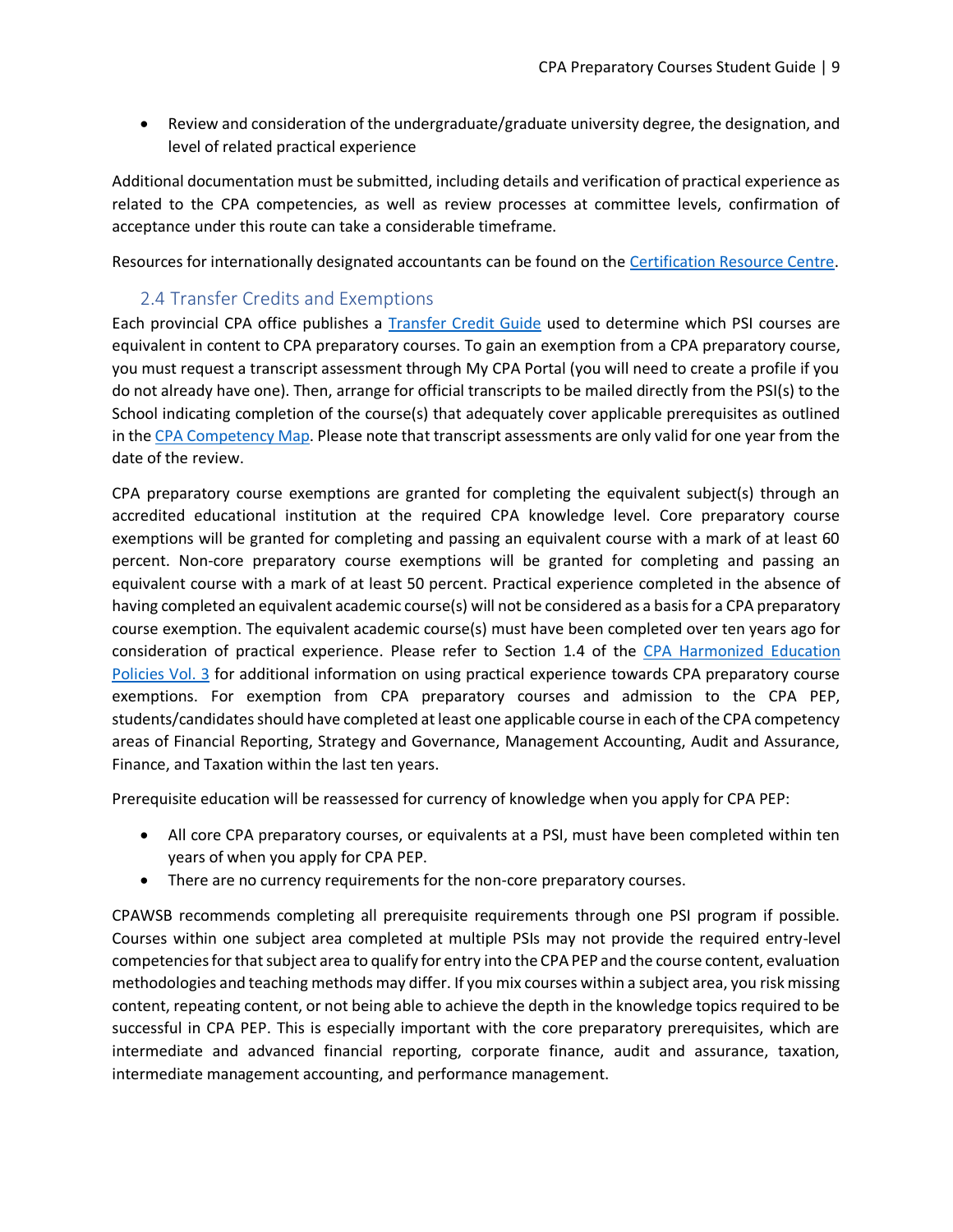• Review and consideration of the undergraduate/graduate university degree, the designation, and level of related practical experience

Additional documentation must be submitted, including details and verification of practical experience as related to the CPA competencies, as well as review processes at committee levels, confirmation of acceptance under this route can take a considerable timeframe.

Resources for internationally designated accountants can be found on th[e Certification Resource Centre.](https://www.cpacanada.ca/en/become-a-cpa/certification-resource-centre/resources-for-international-credential-recognition)

# 2.4 Transfer Credits and Exemptions

<span id="page-8-0"></span>Each provincial CPA office publishes a [Transfer Credit Guide](https://www.cpawsb.ca/future-learners/become-a-cpa/transfer-credit-guides) used to determine which PSI courses are equivalent in content to CPA preparatory courses. To gain an exemption from a CPA preparatory course, you must request a transcript assessment through My CPA Portal (you will need to create a profile if you do not already have one). Then, arrange for official transcripts to be mailed directly from the PSI(s) to the School indicating completion of the course(s) that adequately cover applicable prerequisites as outlined in the [CPA Competency Map.](https://www.cpacanada.ca/en/become-a-cpa/pathways-to-becoming-a-cpa/national-education-resources/the-cpa-competency-map) Please note that transcript assessments are only valid for one year from the date of the review.

CPA preparatory course exemptions are granted for completing the equivalent subject(s) through an accredited educational institution at the required CPA knowledge level. Core preparatory course exemptions will be granted for completing and passing an equivalent course with a mark of at least 60 percent. Non-core preparatory course exemptions will be granted for completing and passing an equivalent course with a mark of at least 50 percent. Practical experience completed in the absence of having completed an equivalent academic course(s) will not be considered as a basis for a CPA preparatory course exemption. The equivalent academic course(s) must have been completed over ten years ago for consideration of practical experience. Please refer to Section 1.4 of the [CPA Harmonized Education](https://www.cpacanada.ca/en/become-a-cpa/why-become-a-cpa/the-cpa-certification-program/cpa-harmonized-education-policies)  [Policies Vol. 3](https://www.cpacanada.ca/en/become-a-cpa/why-become-a-cpa/the-cpa-certification-program/cpa-harmonized-education-policies) for additional information on using practical experience towards CPA preparatory course exemptions. For exemption from CPA preparatory courses and admission to the CPA PEP, students/candidates should have completed at least one applicable course in each of the CPA competency areas of Financial Reporting, Strategy and Governance, Management Accounting, Audit and Assurance, Finance, and Taxation within the last ten years.

Prerequisite education will be reassessed for currency of knowledge when you apply for CPA PEP:

- All core CPA preparatory courses, or equivalents at a PSI, must have been completed within ten years of when you apply for CPA PEP.
- There are no currency requirements for the non-core preparatory courses.

CPAWSB recommends completing all prerequisite requirements through one PSI program if possible. Courses within one subject area completed at multiple PSIs may not provide the required entry-level competencies for that subject area to qualify for entry into the CPA PEP and the course content, evaluation methodologies and teaching methods may differ. If you mix courses within a subject area, you risk missing content, repeating content, or not being able to achieve the depth in the knowledge topics required to be successful in CPA PEP. This is especially important with the core preparatory prerequisites, which are intermediate and advanced financial reporting, corporate finance, audit and assurance, taxation, intermediate management accounting, and performance management.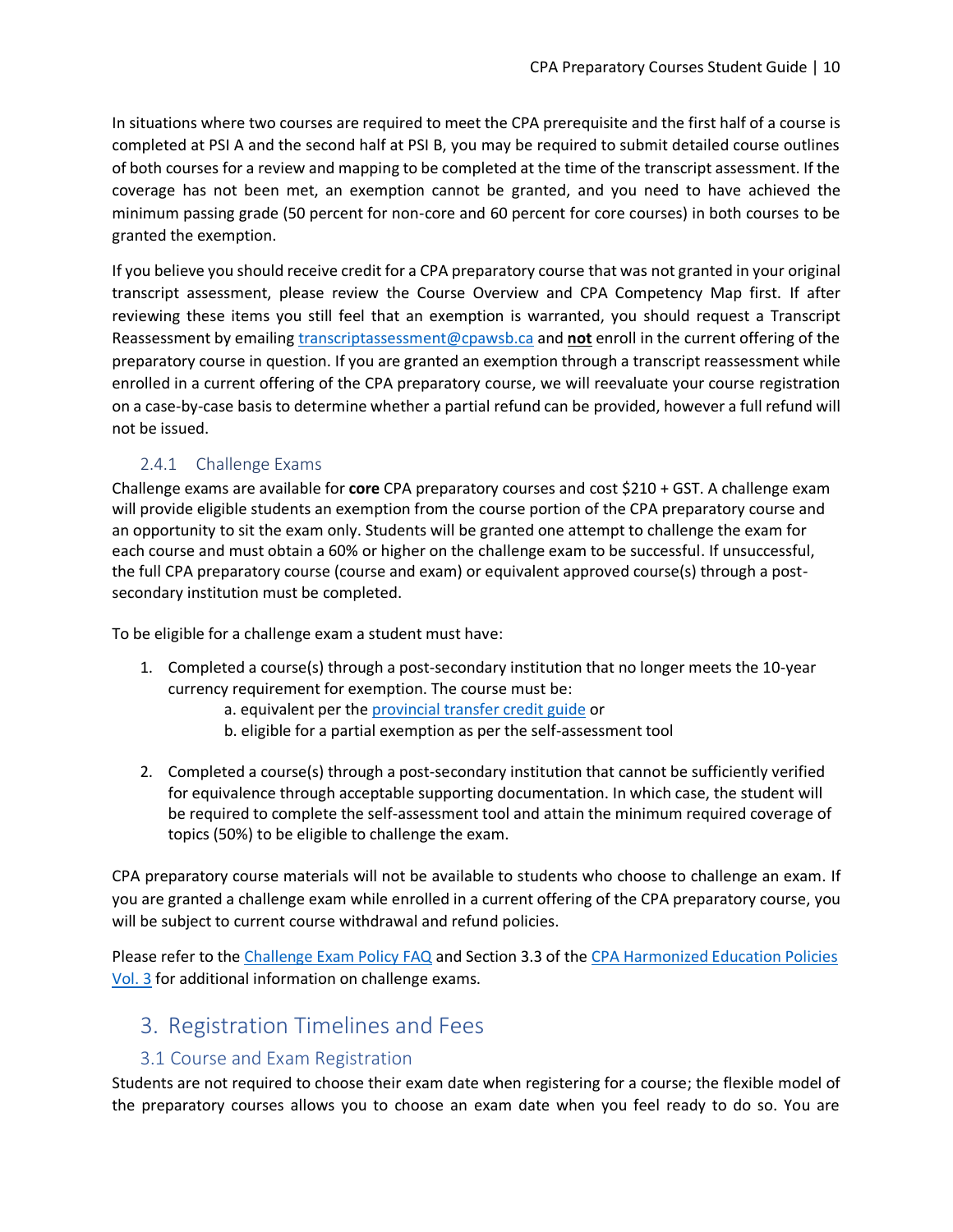In situations where two courses are required to meet the CPA prerequisite and the first half of a course is completed at PSI A and the second half at PSI B, you may be required to submit detailed course outlines of both courses for a review and mapping to be completed at the time of the transcript assessment. If the coverage has not been met, an exemption cannot be granted, and you need to have achieved the minimum passing grade (50 percent for non-core and 60 percent for core courses) in both courses to be granted the exemption.

If you believe you should receive credit for a CPA preparatory course that was not granted in your original transcript assessment, please review the Course Overview and CPA Competency Map first. If after reviewing these items you still feel that an exemption is warranted, you should request a Transcript Reassessment by emailin[g transcriptassessment@cpawsb.ca](mailto:transcriptassessment@cpawsb.ca) and **not** enroll in the current offering of the preparatory course in question. If you are granted an exemption through a transcript reassessment while enrolled in a current offering of the CPA preparatory course, we will reevaluate your course registration on a case-by-case basis to determine whether a partial refund can be provided, however a full refund will not be issued.

## 2.4.1 Challenge Exams

<span id="page-9-0"></span>Challenge exams are available for **core** CPA preparatory courses and cost \$210 + GST. A challenge exam will provide eligible students an exemption from the course portion of the CPA preparatory course and an opportunity to sit the exam only. Students will be granted one attempt to challenge the exam for each course and must obtain a 60% or higher on the challenge exam to be successful. If unsuccessful, the full CPA preparatory course (course and exam) or equivalent approved course(s) through a postsecondary institution must be completed.

To be eligible for a challenge exam a student must have:

- 1. Completed a course(s) through a post-secondary institution that no longer meets the 10-year currency requirement for exemption. The course must be:
	- a. equivalent per the [provincial transfer credit guide](https://www.cpawsb.ca/future-learners/become-a-cpa/transfer-credit-guides) or
	- b. eligible for a partial exemption as per the self-assessment tool
- 2. Completed a course(s) through a post-secondary institution that cannot be sufficiently verified for equivalence through acceptable supporting documentation. In which case, the student will be required to complete the self-assessment tool and attain the minimum required coverage of topics (50%) to be eligible to challenge the exam.

CPA preparatory course materials will not be available to students who choose to challenge an exam. If you are granted a challenge exam while enrolled in a current offering of the CPA preparatory course, you will be subject to current course withdrawal and refund policies.

Please refer to the [Challenge Exam Policy FAQ](https://www.cpawsb.ca/current-learners/cpa-preparatory-courses/faq/challenge-exam-faq/) and Section 3.3 of the [CPA Harmonized Education Policies](https://www.cpacanada.ca/en/become-a-cpa/why-become-a-cpa/the-cpa-certification-program/cpa-harmonized-education-policies)  [Vol. 3](https://www.cpacanada.ca/en/become-a-cpa/why-become-a-cpa/the-cpa-certification-program/cpa-harmonized-education-policies) for additional information on challenge exams.

# <span id="page-9-1"></span>3. Registration Timelines and Fees

## 3.1 Course and Exam Registration

<span id="page-9-2"></span>Students are not required to choose their exam date when registering for a course; the flexible model of the preparatory courses allows you to choose an exam date when you feel ready to do so. You are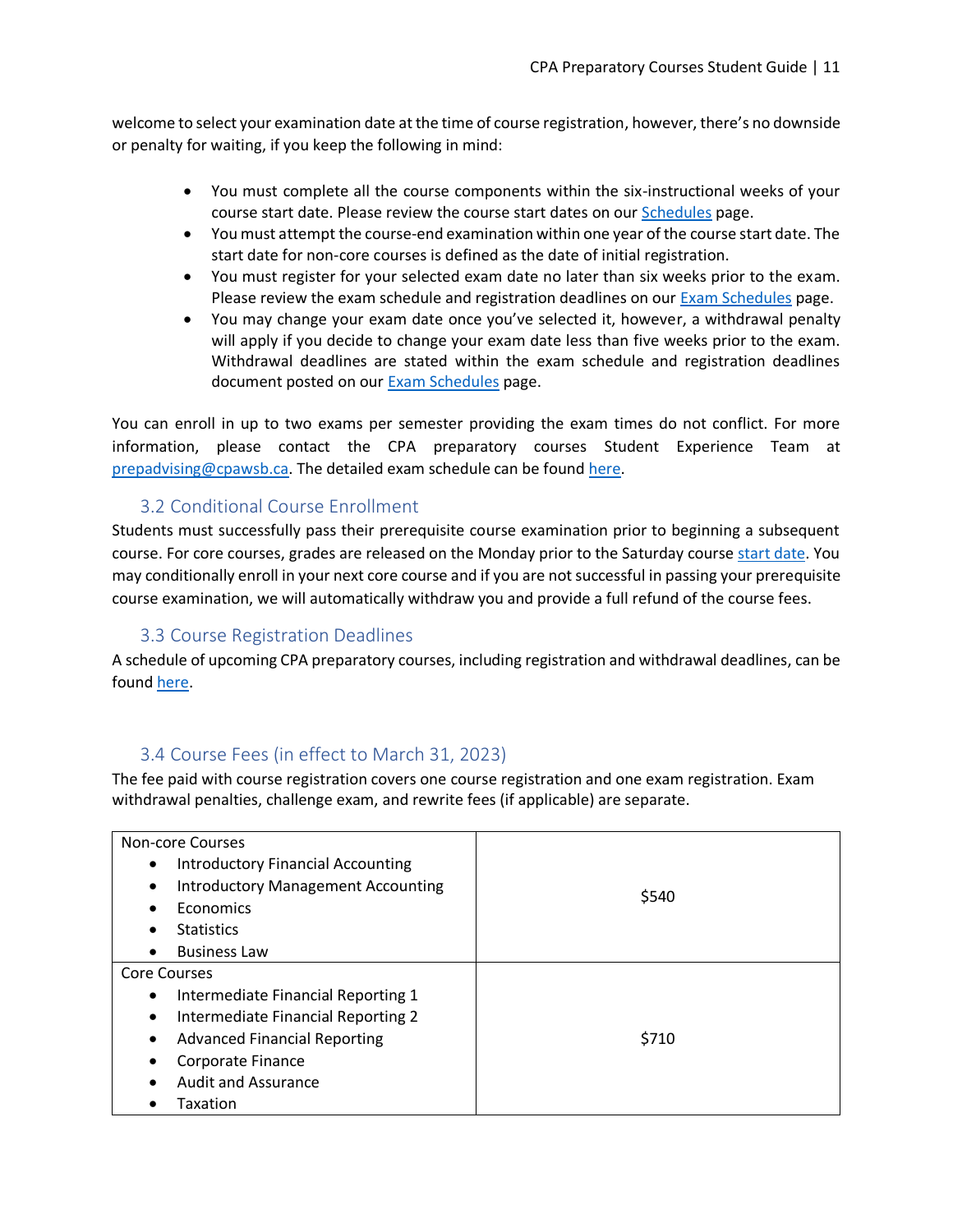welcome to select your examination date at the time of course registration, however, there's no downside or penalty for waiting, if you keep the following in mind:

- You must complete all the course components within the six-instructional weeks of your course start date. Please review the course start dates on our [Schedules](https://www.cpawsb.ca/current-learners/cpa-preparatory-courses/schedules/) page.
- You must attempt the course-end examination within one year of the course start date. The start date for non-core courses is defined as the date of initial registration.
- You must register for your selected exam date no later than six weeks prior to the exam. Please review the exam schedule and registration deadlines on our Exam [Schedules](https://www.cpawsb.ca/current-learners/cpa-preparatory-courses/schedules/exam-schedule/) page.
- You may change your exam date once you've selected it, however, a withdrawal penalty will apply if you decide to change your exam date less than five weeks prior to the exam. Withdrawal deadlines are stated within the exam schedule and registration deadlines document posted on our [Exam Schedules](https://www.cpawsb.ca/current-learners/cpa-preparatory-courses/schedules/exam-schedule/) page.

You can enroll in up to two exams per semester providing the exam times do not conflict. For more information, please contact the CPA preparatory courses Student Experience Team at [prepadvising@cpawsb.ca.](mailto:prepadvising@cpawsb.ca) The detailed exam schedule can be found [here.](https://www.cpawsb.ca/current-learners/cpa-preparatory-courses/schedules/exam-schedule/)

# 3.2 Conditional Course Enrollment

<span id="page-10-0"></span>Students must successfully pass their prerequisite course examination prior to beginning a subsequent course. For core courses, grades are released on the Monday prior to the Saturday course [start](https://www.cpawsb.ca/current-learners/cpa-preparatory-courses/schedules/exam-schedule/) date. You may conditionally enroll in your next core course and if you are not successful in passing your prerequisite course examination, we will automatically withdraw you and provide a full refund of the course fees.

## 3.3 Course Registration Deadlines

<span id="page-10-1"></span>A schedule of upcoming CPA preparatory courses, including registration and withdrawal deadlines, can be found [here.](https://www.cpawsb.ca/current-learners/cpa-preparatory-courses/schedules)

# 3.4 Course Fees (in effect to March 31, 2023)

<span id="page-10-2"></span>The fee paid with course registration covers one course registration and one exam registration. Exam withdrawal penalties, challenge exam, and rewrite fees (if applicable) are separate.

| <b>Non-core Courses</b>                                |       |
|--------------------------------------------------------|-------|
| <b>Introductory Financial Accounting</b><br>٠          |       |
| <b>Introductory Management Accounting</b><br>$\bullet$ |       |
| Economics<br>$\bullet$                                 | \$540 |
| <b>Statistics</b><br>٠                                 |       |
| <b>Business Law</b><br>٠                               |       |
| <b>Core Courses</b>                                    |       |
| Intermediate Financial Reporting 1<br>$\bullet$        |       |
| Intermediate Financial Reporting 2<br>$\bullet$        |       |
| <b>Advanced Financial Reporting</b><br>$\bullet$       | \$710 |
| Corporate Finance<br>٠                                 |       |
| <b>Audit and Assurance</b><br>$\bullet$                |       |
| Taxation                                               |       |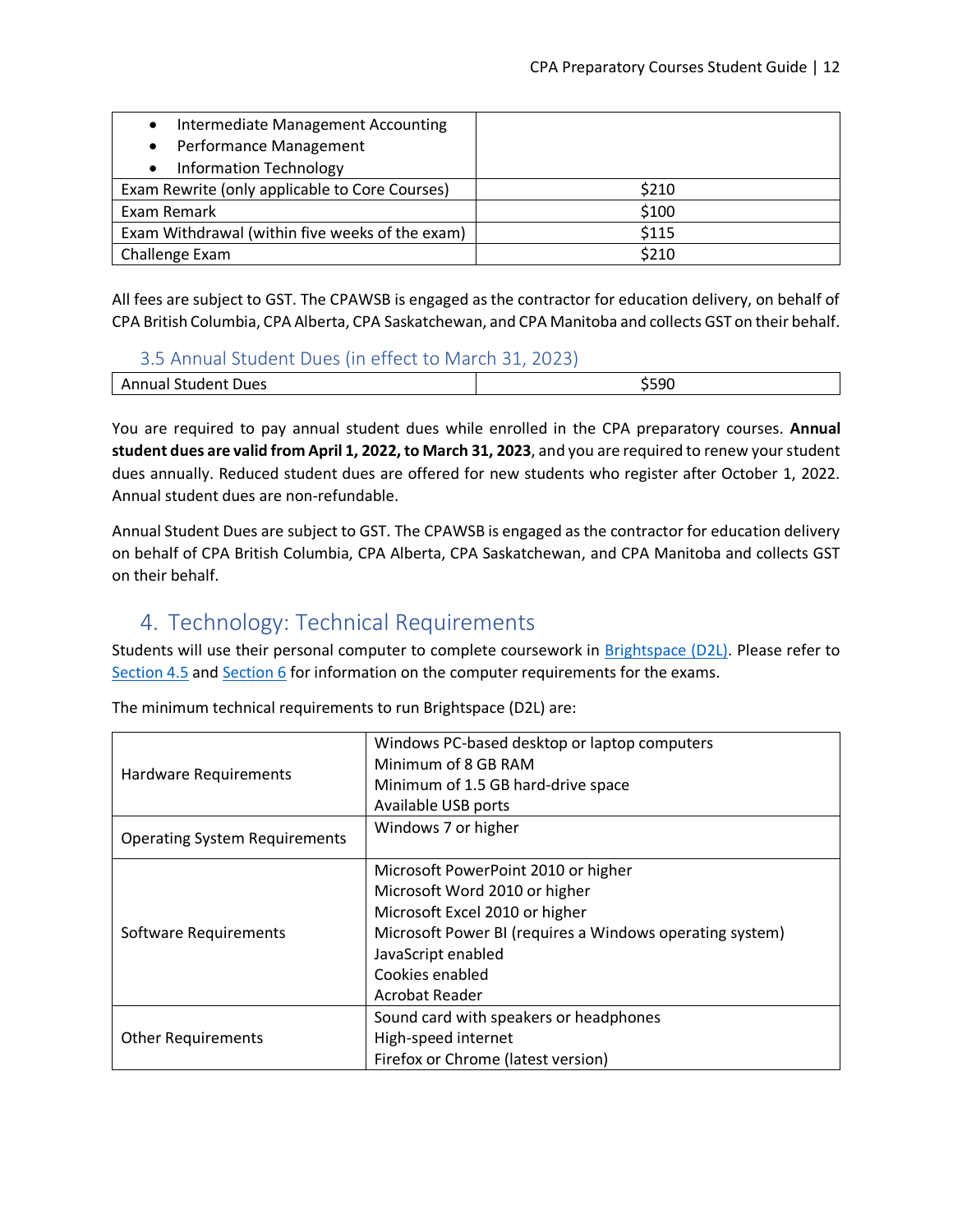| Intermediate Management Accounting<br>$\bullet$ |       |
|-------------------------------------------------|-------|
| Performance Management<br>$\bullet$             |       |
| <b>Information Technology</b>                   |       |
| Exam Rewrite (only applicable to Core Courses)  | \$210 |
| Exam Remark                                     | \$100 |
| Exam Withdrawal (within five weeks of the exam) | \$115 |
| Challenge Exam                                  | \$210 |

All fees are subject to GST. The CPAWSB is engaged as the contractor for education delivery, on behalf of CPA British Columbia, CPA Alberta, CPA Saskatchewan, and CPA Manitoba and collects GST on their behalf.

#### 3.5 Annual Student Dues (in effect to March 31, 2023)

<span id="page-11-0"></span>

| 'Jues<br>sumeni<br>$\mathbf{A}$<br>กมลเ | E OC |
|-----------------------------------------|------|
|                                         |      |

You are required to pay annual student dues while enrolled in the CPA preparatory courses. **Annual student dues are valid from April 1, 2022, to March 31, 2023**, and you are required to renew your student dues annually. Reduced student dues are offered for new students who register after October 1, 2022. Annual student dues are non-refundable.

Annual Student Dues are subject to GST. The CPAWSB is engaged as the contractor for education delivery on behalf of CPA British Columbia, CPA Alberta, CPA Saskatchewan, and CPA Manitoba and collects GST on their behalf.

# <span id="page-11-1"></span>4. Technology: Technical Requirements

Students will use their personal computer to complete coursework in [Brightspace \(D2L\).](https://education.cpacanada.ca/) Please refer to [Section 4.5](#page-13-3) and [Section 6](#page-19-1) for information on the computer requirements for the exams.

| <b>Hardware Requirements</b>         | Windows PC-based desktop or laptop computers<br>Minimum of 8 GB RAM<br>Minimum of 1.5 GB hard-drive space<br>Available USB ports                                                                                              |
|--------------------------------------|-------------------------------------------------------------------------------------------------------------------------------------------------------------------------------------------------------------------------------|
| <b>Operating System Requirements</b> | Windows 7 or higher                                                                                                                                                                                                           |
| Software Requirements                | Microsoft PowerPoint 2010 or higher<br>Microsoft Word 2010 or higher<br>Microsoft Excel 2010 or higher<br>Microsoft Power BI (requires a Windows operating system)<br>JavaScript enabled<br>Cookies enabled<br>Acrobat Reader |
| <b>Other Requirements</b>            | Sound card with speakers or headphones<br>High-speed internet<br>Firefox or Chrome (latest version)                                                                                                                           |

The minimum technical requirements to run Brightspace (D2L) are: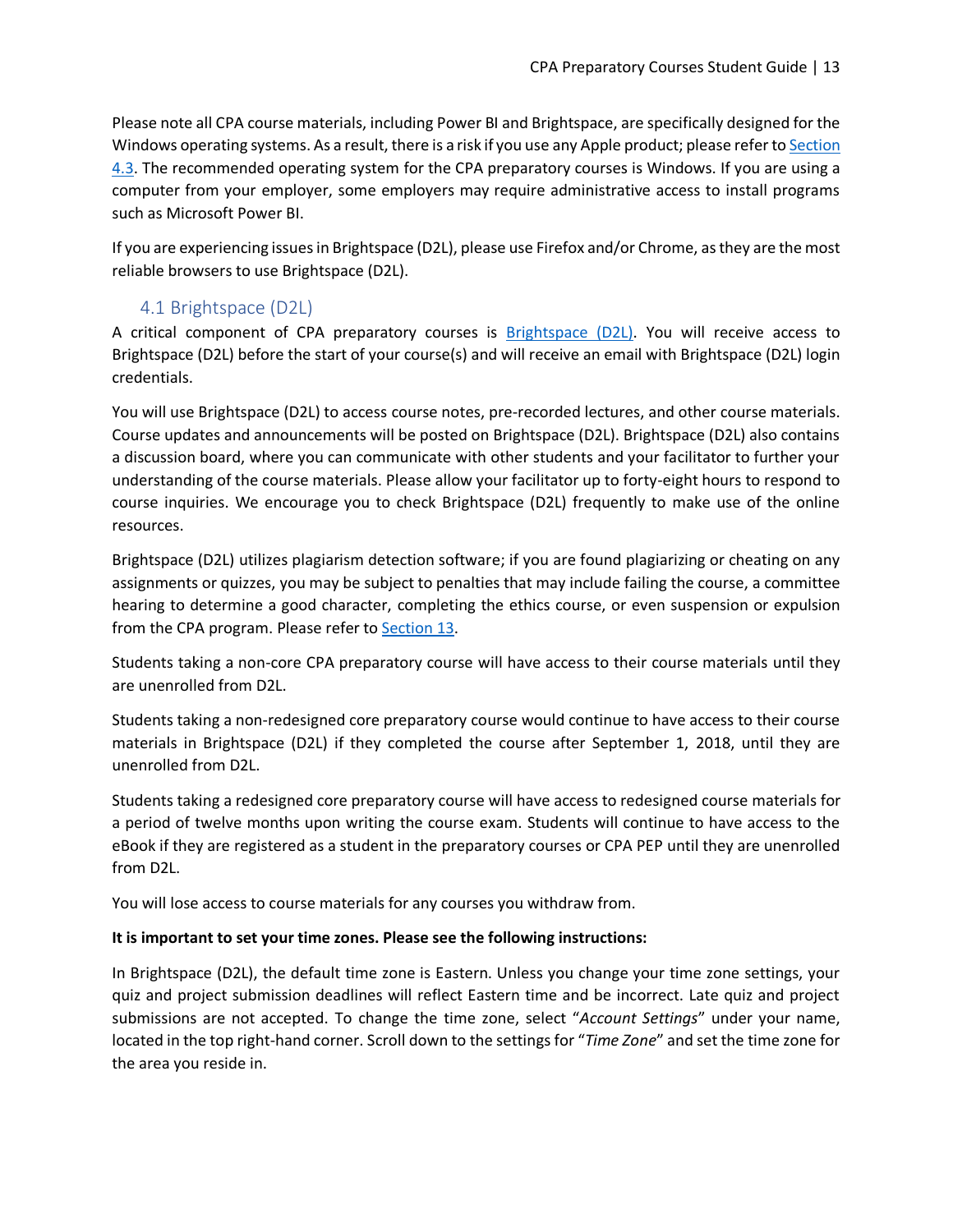Please note all CPA course materials, including Power BI and Brightspace, are specifically designed for the Windows operating systems. As a result, there is a risk if you use any Apple product; please refer to Section [4.3.](#page-13-1) The recommended operating system for the CPA preparatory courses is Windows. If you are using a computer from your employer, some employers may require administrative access to install programs such as Microsoft Power BI.

If you are experiencing issues in Brightspace (D2L), please use Firefox and/or Chrome, as they are the most reliable browsers to use Brightspace (D2L).

# 4.1 Brightspace (D2L)

<span id="page-12-0"></span>A critical component of CPA preparatory courses is [Brightspace \(D2L\).](https://education.cpacanada.ca/) You will receive access to Brightspace (D2L) before the start of your course(s) and will receive an email with Brightspace (D2L) login credentials.

You will use Brightspace (D2L) to access course notes, pre-recorded lectures, and other course materials. Course updates and announcements will be posted on Brightspace (D2L). Brightspace (D2L) also contains a discussion board, where you can communicate with other students and your facilitator to further your understanding of the course materials. Please allow your facilitator up to forty-eight hours to respond to course inquiries. We encourage you to check Brightspace (D2L) frequently to make use of the online resources.

Brightspace (D2L) utilizes plagiarism detection software; if you are found plagiarizing or cheating on any assignments or quizzes, you may be subject to penalties that may include failing the course, a committee hearing to determine a good character, completing the ethics course, or even suspension or expulsion from the CPA program. Please refer to [Section 13.](#page-31-0)

Students taking a non-core CPA preparatory course will have access to their course materials until they are unenrolled from D2L.

Students taking a non-redesigned core preparatory course would continue to have access to their course materials in Brightspace (D2L) if they completed the course after September 1, 2018, until they are unenrolled from D2L.

Students taking a redesigned core preparatory course will have access to redesigned course materials for a period of twelve months upon writing the course exam. Students will continue to have access to the eBook if they are registered as a student in the preparatory courses or CPA PEP until they are unenrolled from D2L.

You will lose access to course materials for any courses you withdraw from.

#### **It is important to set your time zones. Please see the following instructions:**

In Brightspace (D2L), the default time zone is Eastern. Unless you change your time zone settings, your quiz and project submission deadlines will reflect Eastern time and be incorrect. Late quiz and project submissions are not accepted. To change the time zone, select "*Account Settings*" under your name, located in the top right-hand corner. Scroll down to the settings for "*Time Zone*" and set the time zone for the area you reside in.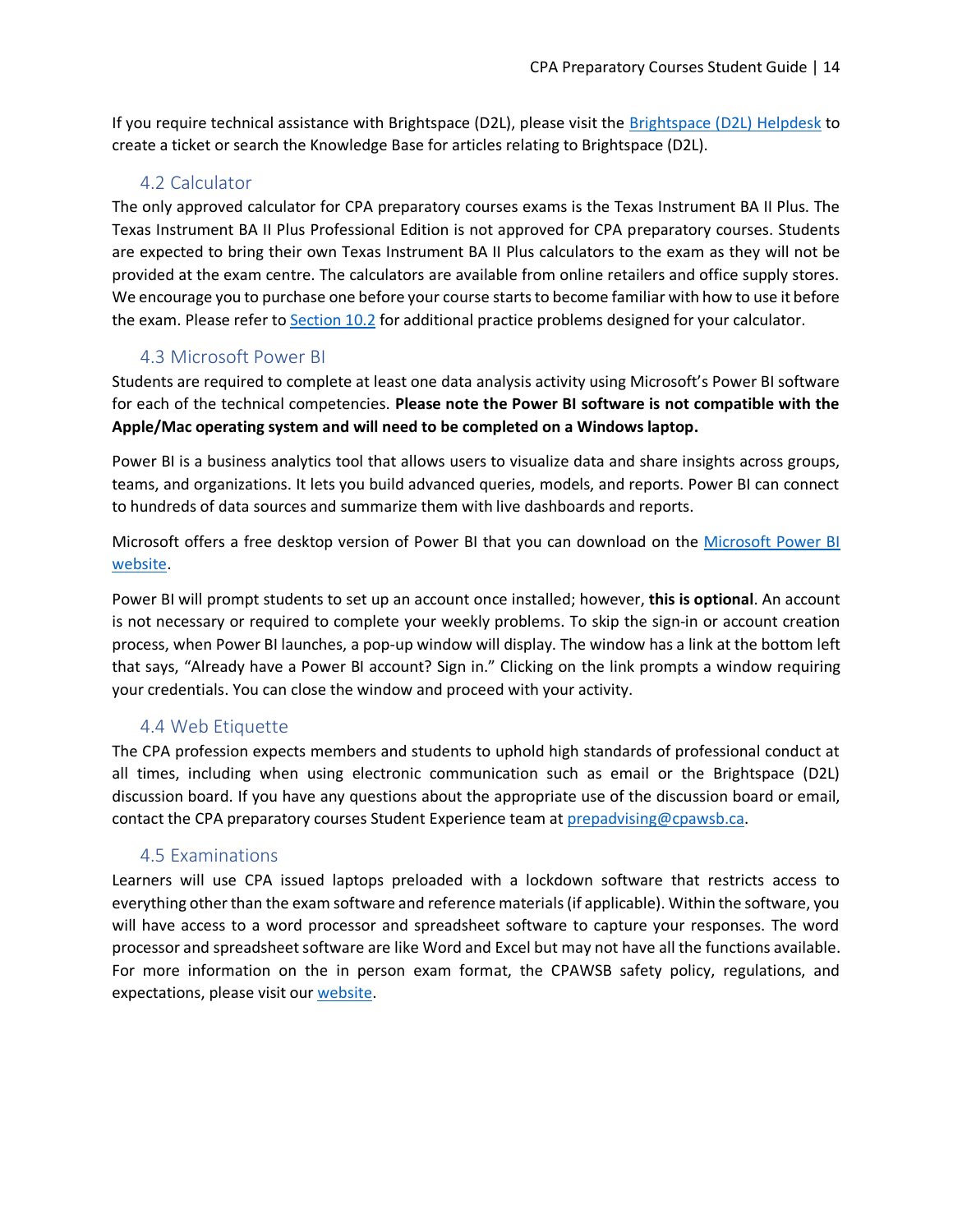If you require technical assistance with Brightspace (D2L), please visit the [Brightspace \(D2L\)](https://cpacanada.service-now.com/support) Helpdesk to create a ticket or search the Knowledge Base for articles relating to Brightspace (D2L).

## 4.2 Calculator

<span id="page-13-0"></span>The only approved calculator for CPA preparatory courses exams is the Texas Instrument BA II Plus. The Texas Instrument BA II Plus Professional Edition is not approved for CPA preparatory courses. Students are expected to bring their own Texas Instrument BA II Plus calculators to the exam as they will not be provided at the exam centre. The calculators are available from online retailers and office supply stores. We encourage you to purchase one before your course starts to become familiar with how to use it before the exam. Please refer t[o Section 10.2](#page-28-2) for additional practice problems designed for your calculator.

## 4.3 Microsoft Power BI

<span id="page-13-1"></span>Students are required to complete at least one data analysis activity using Microsoft's Power BI software for each of the technical competencies. **Please note the Power BI software is not compatible with the Apple/Mac operating system and will need to be completed on a Windows laptop.** 

Power BI is a business analytics tool that allows users to visualize data and share insights across groups, teams, and organizations. It lets you build advanced queries, models, and reports. Power BI can connect to hundreds of data sources and summarize them with live dashboards and reports.

Microsoft offers a free desktop version of Power BI that you can download on the [Microsoft Power BI](https://powerbi.microsoft.com/en-us/desktop)  [website.](https://powerbi.microsoft.com/en-us/desktop)

Power BI will prompt students to set up an account once installed; however, **this is optional**. An account is not necessary or required to complete your weekly problems. To skip the sign-in or account creation process, when Power BI launches, a pop-up window will display. The window has a link at the bottom left that says, "Already have a Power BI account? Sign in." Clicking on the link prompts a window requiring your credentials. You can close the window and proceed with your activity.

# 4.4 Web Etiquette

<span id="page-13-2"></span>The CPA profession expects members and students to uphold high standards of professional conduct at all times, including when using electronic communication such as email or the Brightspace (D2L) discussion board. If you have any questions about the appropriate use of the discussion board or email, contact the CPA preparatory courses Student Experience team at [prepadvising@cpawsb.ca.](mailto:prepadvising@cpawsb.ca)

## 4.5 Examinations

<span id="page-13-3"></span>Learners will use CPA issued laptops preloaded with a lockdown software that restricts access to everything other than the exam software and reference materials (if applicable). Within the software, you will have access to a word processor and spreadsheet software to capture your responses. The word processor and spreadsheet software are like Word and Excel but may not have all the functions available. For more information on the in person exam format, the CPAWSB safety policy, regulations, and expectations, please visit our [website.](https://www.cpawsb.ca/news/covid-19-news/cpawsb-safety-policy/)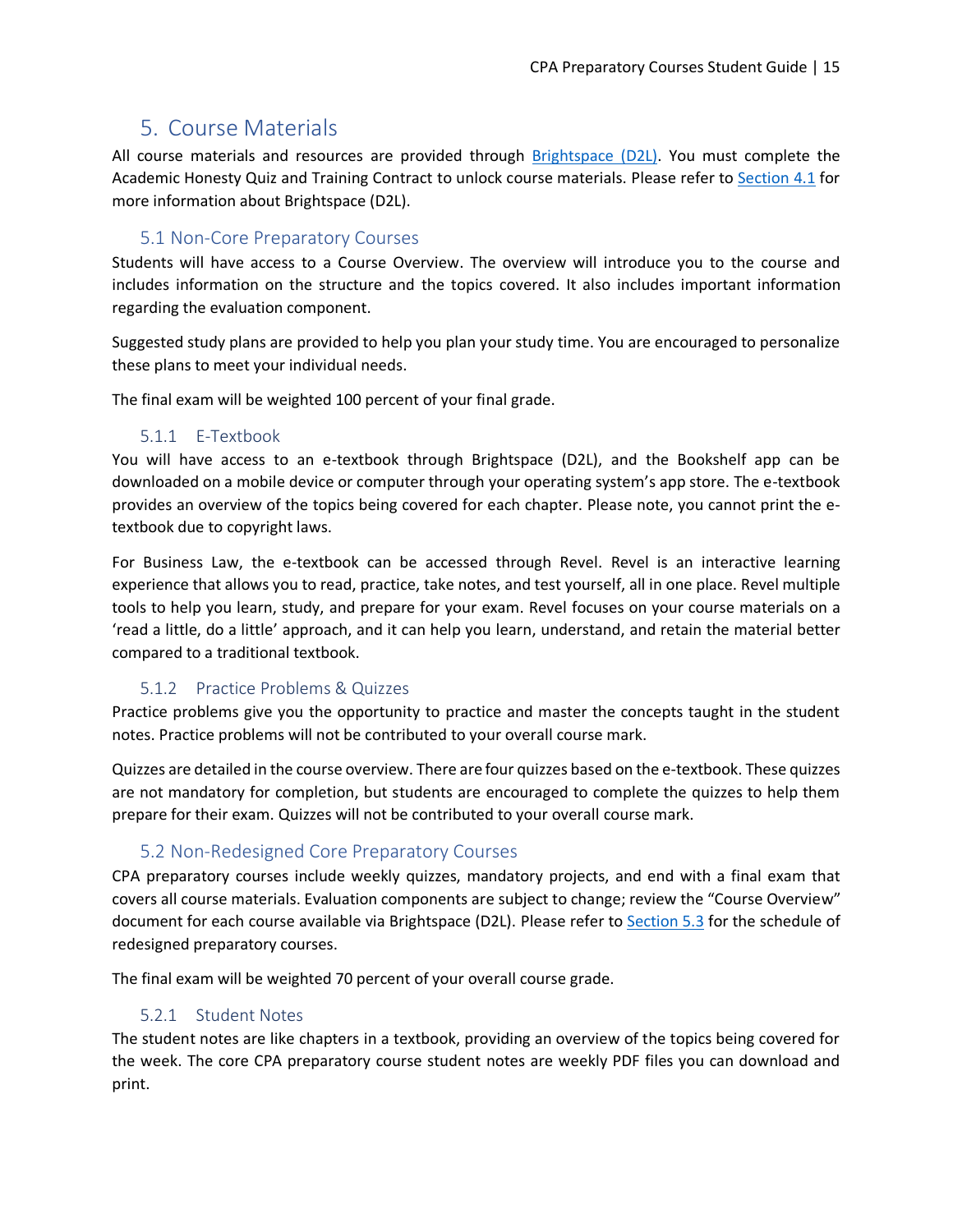# <span id="page-14-0"></span>5. Course Materials

All course materials and resources are provided through [Brightspace](https://education.cpacanada.ca/) (D2L). You must complete the Academic Honesty Quiz and Training Contract to unlock course materials. Please refer to [Section 4.1](#page-12-0) for more information about Brightspace (D2L).

#### 5.1 Non-Core Preparatory Courses

<span id="page-14-1"></span>Students will have access to a Course Overview. The overview will introduce you to the course and includes information on the structure and the topics covered. It also includes important information regarding the evaluation component.

Suggested study plans are provided to help you plan your study time. You are encouraged to personalize these plans to meet your individual needs.

The final exam will be weighted 100 percent of your final grade.

#### 5.1.1 E-Textbook

<span id="page-14-2"></span>You will have access to an e-textbook through Brightspace (D2L), and the Bookshelf app can be downloaded on a mobile device or computer through your operating system's app store. The e-textbook provides an overview of the topics being covered for each chapter. Please note, you cannot print the etextbook due to copyright laws.

For Business Law, the e-textbook can be accessed through Revel. Revel is an interactive learning experience that allows you to read, practice, take notes, and test yourself, all in one place. Revel multiple tools to help you learn, study, and prepare for your exam. Revel focuses on your course materials on a 'read a little, do a little' approach, and it can help you learn, understand, and retain the material better compared to a traditional textbook.

## 5.1.2 Practice Problems & Quizzes

<span id="page-14-3"></span>Practice problems give you the opportunity to practice and master the concepts taught in the student notes. Practice problems will not be contributed to your overall course mark.

Quizzes are detailed in the course overview. There are four quizzes based on the e-textbook. These quizzes are not mandatory for completion, but students are encouraged to complete the quizzes to help them prepare for their exam. Quizzes will not be contributed to your overall course mark.

# 5.2 Non-Redesigned Core Preparatory Courses

<span id="page-14-4"></span>CPA preparatory courses include weekly quizzes, mandatory projects, and end with a final exam that covers all course materials. Evaluation components are subject to change; review the "Course Overview" document for each course available via Brightspace (D2L). Please refer to [Section 5.3](#page-16-0) for the schedule of redesigned preparatory courses.

The final exam will be weighted 70 percent of your overall course grade.

## 5.2.1 Student Notes

<span id="page-14-5"></span>The student notes are like chapters in a textbook, providing an overview of the topics being covered for the week. The core CPA preparatory course student notes are weekly PDF files you can download and print.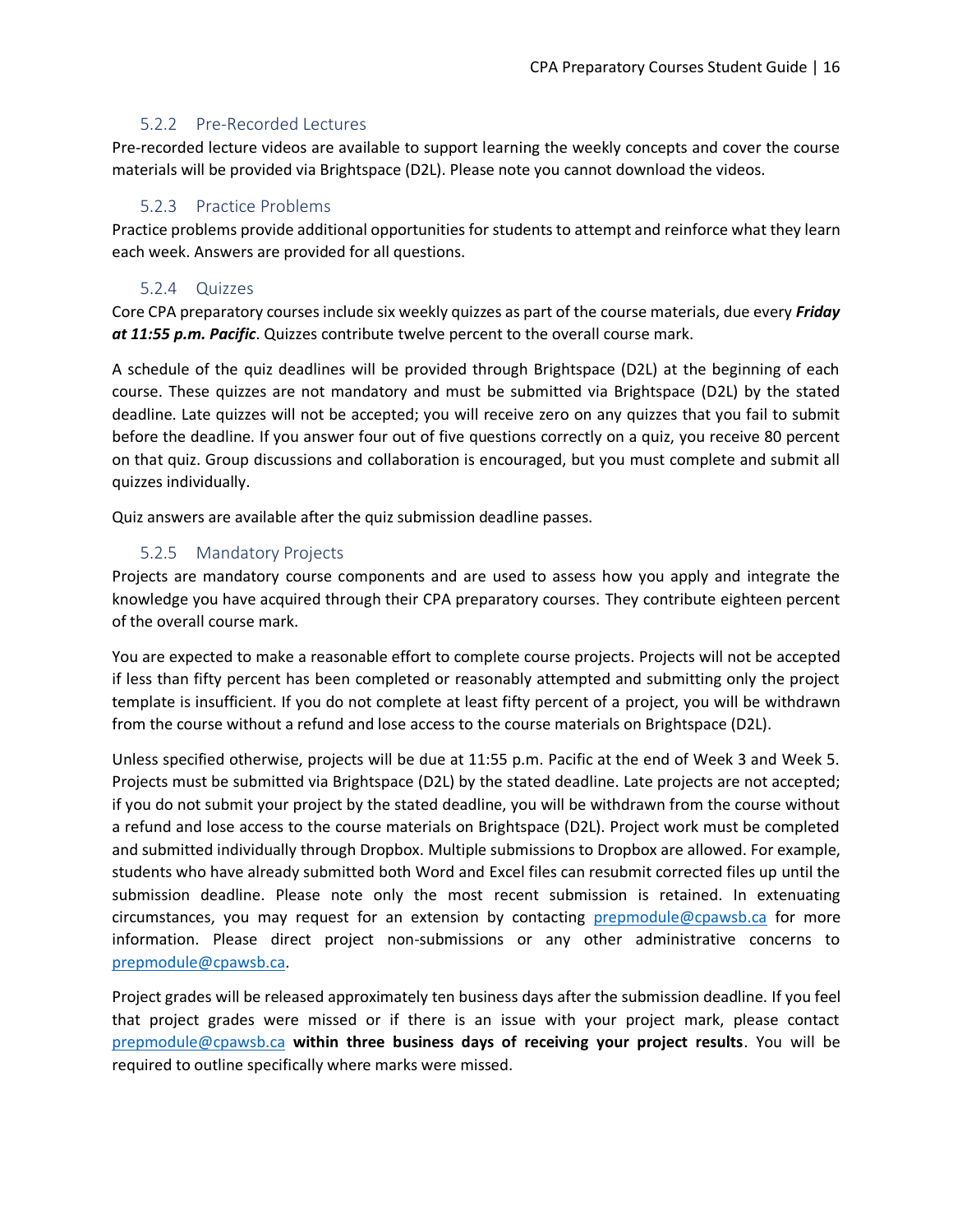#### 5.2.2 Pre-Recorded Lectures

<span id="page-15-0"></span>Pre-recorded lecture videos are available to support learning the weekly concepts and cover the course materials will be provided via Brightspace (D2L). Please note you cannot download the videos.

#### 5.2.3 Practice Problems

<span id="page-15-1"></span>Practice problems provide additional opportunities for students to attempt and reinforce what they learn each week. Answers are provided for all questions.

#### 5.2.4 Quizzes

<span id="page-15-2"></span>Core CPA preparatory courses include six weekly quizzes as part of the course materials, due every *Friday at 11:55 p.m. Pacific*. Quizzes contribute twelve percent to the overall course mark.

A schedule of the quiz deadlines will be provided through Brightspace (D2L) at the beginning of each course. These quizzes are not mandatory and must be submitted via Brightspace (D2L) by the stated deadline. Late quizzes will not be accepted; you will receive zero on any quizzes that you fail to submit before the deadline. If you answer four out of five questions correctly on a quiz, you receive 80 percent on that quiz. Group discussions and collaboration is encouraged, but you must complete and submit all quizzes individually.

Quiz answers are available after the quiz submission deadline passes.

#### 5.2.5 Mandatory Projects

<span id="page-15-3"></span>Projects are mandatory course components and are used to assess how you apply and integrate the knowledge you have acquired through their CPA preparatory courses. They contribute eighteen percent of the overall course mark.

You are expected to make a reasonable effort to complete course projects. Projects will not be accepted if less than fifty percent has been completed or reasonably attempted and submitting only the project template is insufficient. If you do not complete at least fifty percent of a project, you will be withdrawn from the course without a refund and lose access to the course materials on Brightspace (D2L).

Unless specified otherwise, projects will be due at 11:55 p.m. Pacific at the end of Week 3 and Week 5. Projects must be submitted via Brightspace (D2L) by the stated deadline. Late projects are not accepted; if you do not submit your project by the stated deadline, you will be withdrawn from the course without a refund and lose access to the course materials on Brightspace (D2L). Project work must be completed and submitted individually through Dropbox. Multiple submissions to Dropbox are allowed. For example, students who have already submitted both Word and Excel files can resubmit corrected files up until the submission deadline. Please note only the most recent submission is retained. In extenuating circumstances, you may request for an extension by contacting [prepmodule@cpawsb.ca](mailto:prepmodule@cpawsb.ca) for more information. Please direct project non-submissions or any other administrative concerns to [prepmodule@cpawsb.ca.](mailto:prepmodule@cpawsb.ca)

Project grades will be released approximately ten business days after the submission deadline. If you feel that project grades were missed or if there is an issue with your project mark, please contact [prepmodule@cpawsb.ca](mailto:prepmodule@cpawsb.ca) **within three business days of receiving your project results**. You will be required to outline specifically where marks were missed.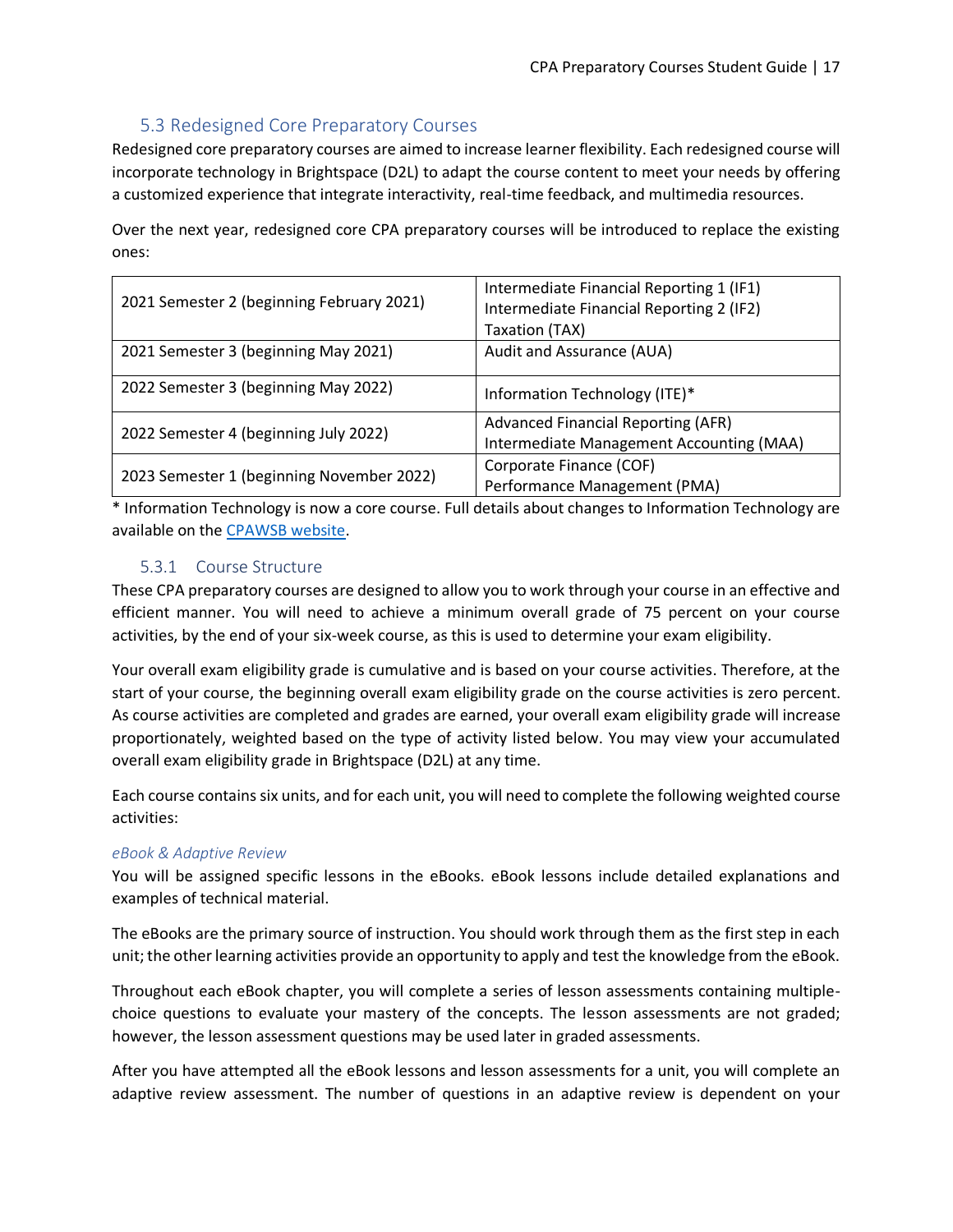## 5.3 Redesigned Core Preparatory Courses

<span id="page-16-0"></span>Redesigned core preparatory courses are aimed to increase learner flexibility. Each redesigned course will incorporate technology in Brightspace (D2L) to adapt the course content to meet your needs by offering a customized experience that integrate interactivity, real-time feedback, and multimedia resources.

Over the next year, redesigned core CPA preparatory courses will be introduced to replace the existing ones:

| 2021 Semester 2 (beginning February 2021) | Intermediate Financial Reporting 1 (IF1)  |
|-------------------------------------------|-------------------------------------------|
|                                           | Intermediate Financial Reporting 2 (IF2)  |
|                                           | Taxation (TAX)                            |
| 2021 Semester 3 (beginning May 2021)      | Audit and Assurance (AUA)                 |
|                                           |                                           |
| 2022 Semester 3 (beginning May 2022)      | Information Technology (ITE)*             |
|                                           | <b>Advanced Financial Reporting (AFR)</b> |
| 2022 Semester 4 (beginning July 2022)     | Intermediate Management Accounting (MAA)  |
| 2023 Semester 1 (beginning November 2022) | Corporate Finance (COF)                   |
|                                           | Performance Management (PMA)              |

\* Information Technology is now a core course. Full details about changes to Information Technology are available on the [CPAWSB website.](https://www.cpawsb.ca/future-learners/certification-program-overview/cpa-preparatory-courses-overview/upcoming-changes-to-cpa-pep-prerequisites)

#### 5.3.1 Course Structure

<span id="page-16-1"></span>These CPA preparatory courses are designed to allow you to work through your course in an effective and efficient manner. You will need to achieve a minimum overall grade of 75 percent on your course activities, by the end of your six-week course, as this is used to determine your exam eligibility.

Your overall exam eligibility grade is cumulative and is based on your course activities. Therefore, at the start of your course, the beginning overall exam eligibility grade on the course activities is zero percent. As course activities are completed and grades are earned, your overall exam eligibility grade will increase proportionately, weighted based on the type of activity listed below. You may view your accumulated overall exam eligibility grade in Brightspace (D2L) at any time.

Each course contains six units, and for each unit, you will need to complete the following weighted course activities:

#### *eBook & Adaptive Review*

You will be assigned specific lessons in the eBooks. eBook lessons include detailed explanations and examples of technical material.

The eBooks are the primary source of instruction. You should work through them as the first step in each unit; the other learning activities provide an opportunity to apply and test the knowledge from the eBook.

Throughout each eBook chapter, you will complete a series of lesson assessments containing multiplechoice questions to evaluate your mastery of the concepts. The lesson assessments are not graded; however, the lesson assessment questions may be used later in graded assessments.

After you have attempted all the eBook lessons and lesson assessments for a unit, you will complete an adaptive review assessment. The number of questions in an adaptive review is dependent on your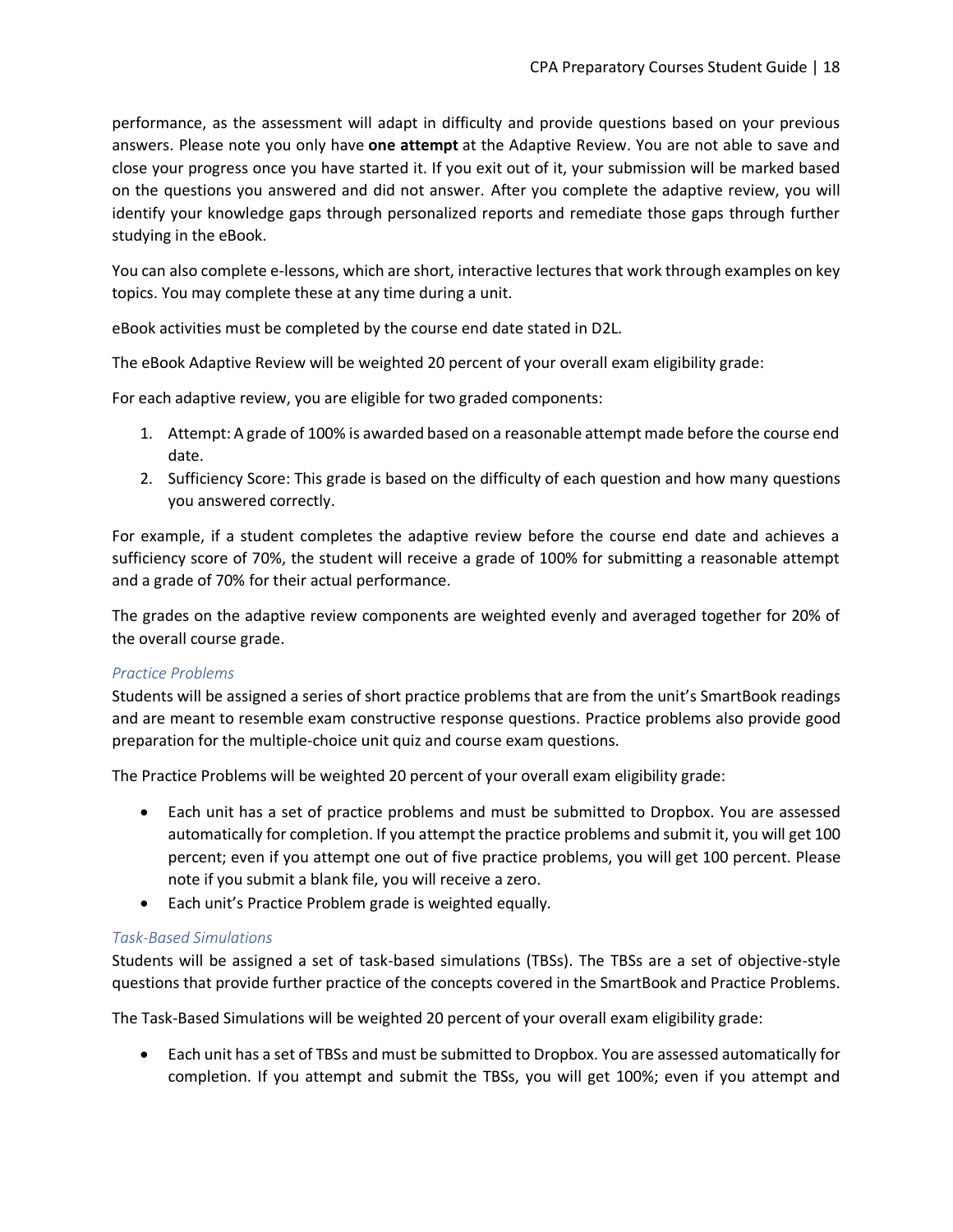performance, as the assessment will adapt in difficulty and provide questions based on your previous answers. Please note you only have **one attempt** at the Adaptive Review. You are not able to save and close your progress once you have started it. If you exit out of it, your submission will be marked based on the questions you answered and did not answer. After you complete the adaptive review, you will identify your knowledge gaps through personalized reports and remediate those gaps through further studying in the eBook.

You can also complete e-lessons, which are short, interactive lectures that work through examples on key topics. You may complete these at any time during a unit.

eBook activities must be completed by the course end date stated in D2L.

The eBook Adaptive Review will be weighted 20 percent of your overall exam eligibility grade:

For each adaptive review, you are eligible for two graded components:

- 1. Attempt: A grade of 100% is awarded based on a reasonable attempt made before the course end date.
- 2. Sufficiency Score: This grade is based on the difficulty of each question and how many questions you answered correctly.

For example, if a student completes the adaptive review before the course end date and achieves a sufficiency score of 70%, the student will receive a grade of 100% for submitting a reasonable attempt and a grade of 70% for their actual performance.

The grades on the adaptive review components are weighted evenly and averaged together for 20% of the overall course grade.

#### *Practice Problems*

Students will be assigned a series of short practice problems that are from the unit's SmartBook readings and are meant to resemble exam constructive response questions. Practice problems also provide good preparation for the multiple-choice unit quiz and course exam questions.

The Practice Problems will be weighted 20 percent of your overall exam eligibility grade:

- Each unit has a set of practice problems and must be submitted to Dropbox. You are assessed automatically for completion. If you attempt the practice problems and submit it, you will get 100 percent; even if you attempt one out of five practice problems, you will get 100 percent. Please note if you submit a blank file, you will receive a zero.
- Each unit's Practice Problem grade is weighted equally.

#### *Task-Based Simulations*

Students will be assigned a set of task-based simulations (TBSs). The TBSs are a set of objective-style questions that provide further practice of the concepts covered in the SmartBook and Practice Problems.

The Task-Based Simulations will be weighted 20 percent of your overall exam eligibility grade:

• Each unit has a set of TBSs and must be submitted to Dropbox. You are assessed automatically for completion. If you attempt and submit the TBSs, you will get 100%; even if you attempt and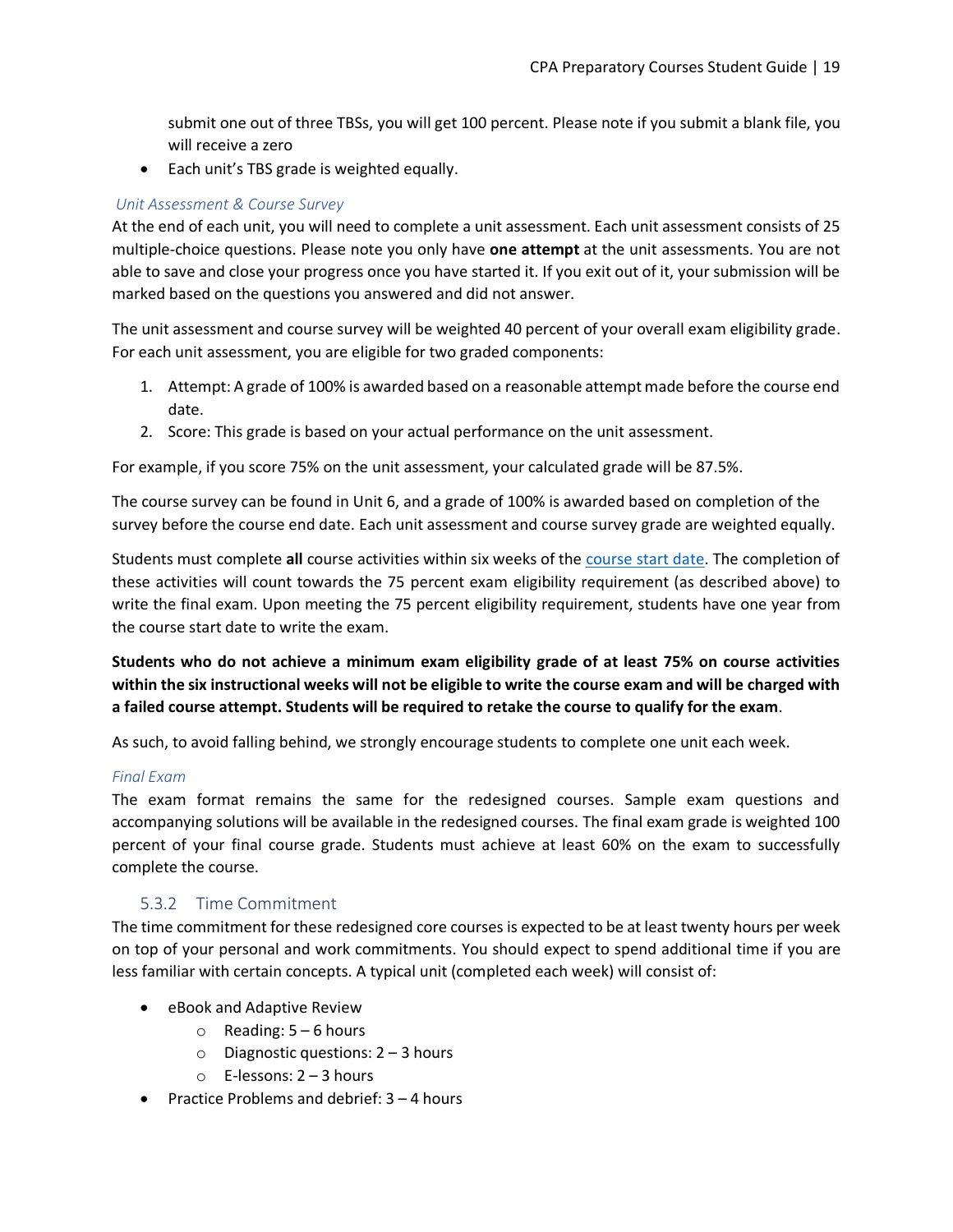submit one out of three TBSs, you will get 100 percent. Please note if you submit a blank file, you will receive a zero

• Each unit's TBS grade is weighted equally.

#### *Unit Assessment & Course Survey*

At the end of each unit, you will need to complete a unit assessment. Each unit assessment consists of 25 multiple-choice questions. Please note you only have **one attempt** at the unit assessments. You are not able to save and close your progress once you have started it. If you exit out of it, your submission will be marked based on the questions you answered and did not answer.

The unit assessment and course survey will be weighted 40 percent of your overall exam eligibility grade. For each unit assessment, you are eligible for two graded components:

- 1. Attempt: A grade of 100% is awarded based on a reasonable attempt made before the course end date.
- 2. Score: This grade is based on your actual performance on the unit assessment.

For example, if you score 75% on the unit assessment, your calculated grade will be 87.5%.

The course survey can be found in Unit 6, and a grade of 100% is awarded based on completion of the survey before the course end date. Each unit assessment and course survey grade are weighted equally.

Students must complete **all** course activities within six weeks of the [course start date.](https://www.cpawsb.ca/current-learners/cpa-preparatory-courses/schedules/) The completion of these activities will count towards the 75 percent exam eligibility requirement (as described above) to write the final exam. Upon meeting the 75 percent eligibility requirement, students have one year from the course start date to write the exam.

**Students who do not achieve a minimum exam eligibility grade of at least 75% on course activities within the six instructional weeks will not be eligible to write the course exam and will be charged with a failed course attempt. Students will be required to retake the course to qualify for the exam**.

As such, to avoid falling behind, we strongly encourage students to complete one unit each week.

#### *Final Exam*

The exam format remains the same for the redesigned courses. Sample exam questions and accompanying solutions will be available in the redesigned courses. The final exam grade is weighted 100 percent of your final course grade. Students must achieve at least 60% on the exam to successfully complete the course.

#### 5.3.2 Time Commitment

<span id="page-18-0"></span>The time commitment for these redesigned core courses is expected to be at least twenty hours per week on top of your personal and work commitments. You should expect to spend additional time if you are less familiar with certain concepts. A typical unit (completed each week) will consist of:

- eBook and Adaptive Review
	- $\circ$  Reading:  $5 6$  hours
	- $\circ$  Diagnostic questions: 2 3 hours
	- o E-lessons: 2 3 hours
- Practice Problems and debrief: 3 4 hours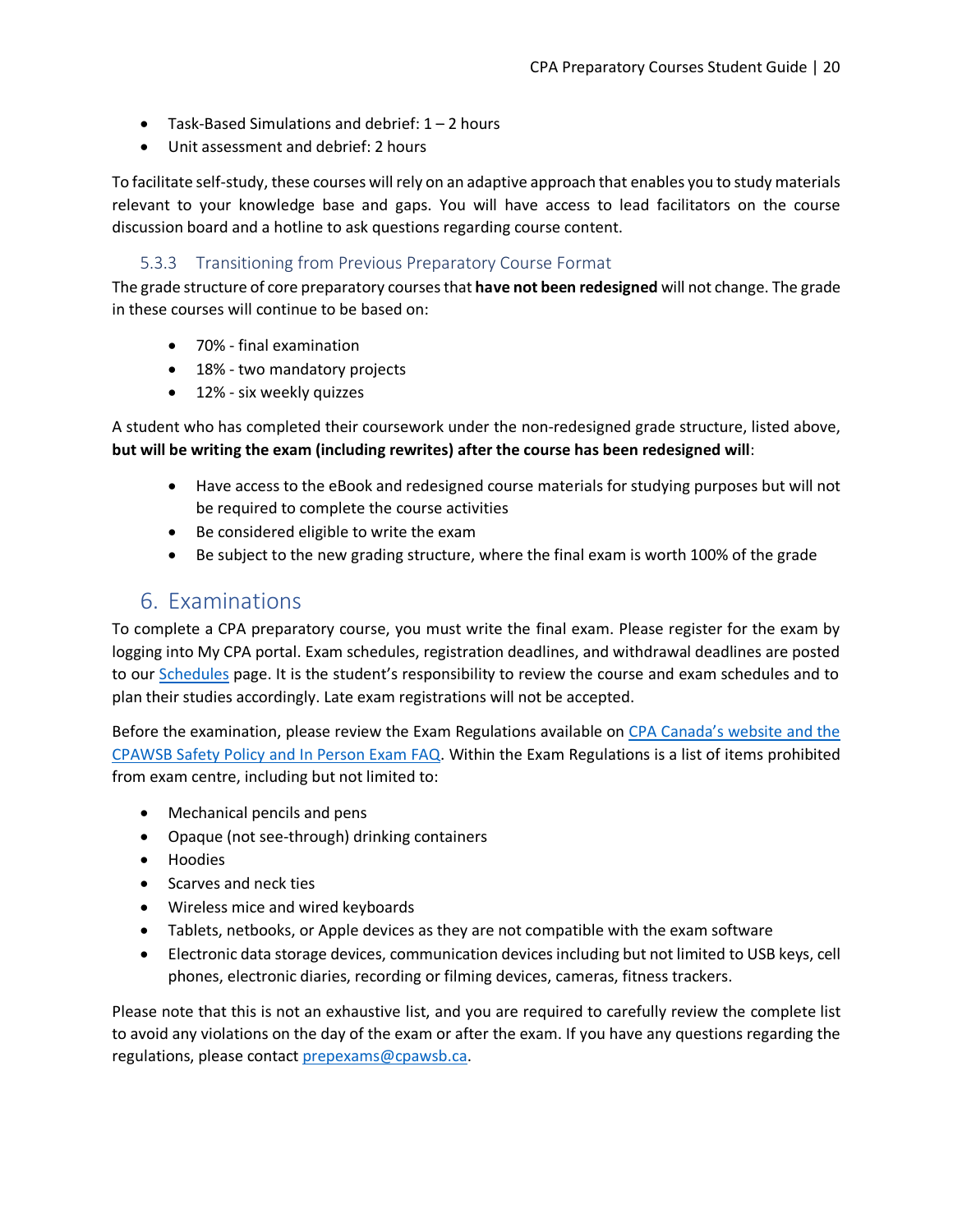- Task-Based Simulations and debrief:  $1 2$  hours
- Unit assessment and debrief: 2 hours

To facilitate self-study, these courses will rely on an adaptive approach that enables you to study materials relevant to your knowledge base and gaps. You will have access to lead facilitators on the course discussion board and a hotline to ask questions regarding course content.

#### 5.3.3 Transitioning from Previous Preparatory Course Format

<span id="page-19-0"></span>The grade structure of core preparatory courses that **have not been redesigned** will not change. The grade in these courses will continue to be based on:

- 70% final examination
- 18% two mandatory projects
- 12% six weekly quizzes

A student who has completed their coursework under the non-redesigned grade structure, listed above, **but will be writing the exam (including rewrites) after the course has been redesigned will**:

- Have access to the eBook and redesigned course materials for studying purposes but will not be required to complete the course activities
- Be considered eligible to write the exam
- Be subject to the new grading structure, where the final exam is worth 100% of the grade

# <span id="page-19-1"></span>6. Examinations

To complete a CPA preparatory course, you must write the final exam. Please register for the exam by logging into My CPA portal. Exam schedules, registration deadlines, and withdrawal deadlines are posted to our [Schedules](https://www.cpawsb.ca/current-learners/cpa-preparatory-courses/schedules/exam-schedule/) page. It is the student's responsibility to review the course and exam schedules and to plan their studies accordingly. Late exam registrations will not be accepted.

Before the examination, please review the Exam Regulations available on [CPA Canada's website](https://www.cpacanada.ca/en/become-a-cpa/cpa-prep-becoming-a-cpa/examination-regulations-for-cpa-preparatory-courses) and the CPAWSB Safety Policy [and In Person Exam FAQ.](https://www.cpawsb.ca/news/covid-19-news/cpawsb-safety-policy/) Within the Exam Regulations is a list of items prohibited from exam centre, including but not limited to:

- Mechanical pencils and pens
- Opaque (not see-through) drinking containers
- Hoodies
- Scarves and neck ties
- Wireless mice and wired keyboards
- Tablets, netbooks, or Apple devices as they are not compatible with the exam software
- Electronic data storage devices, communication devices including but not limited to USB keys, cell phones, electronic diaries, recording or filming devices, cameras, fitness trackers.

Please note that this is not an exhaustive list, and you are required to carefully review the complete list to avoid any violations on the day of the exam or after the exam. If you have any questions regarding the regulations, please contac[t prepexams@cpawsb.ca.](mailto:prepexams@cpawsb.ca)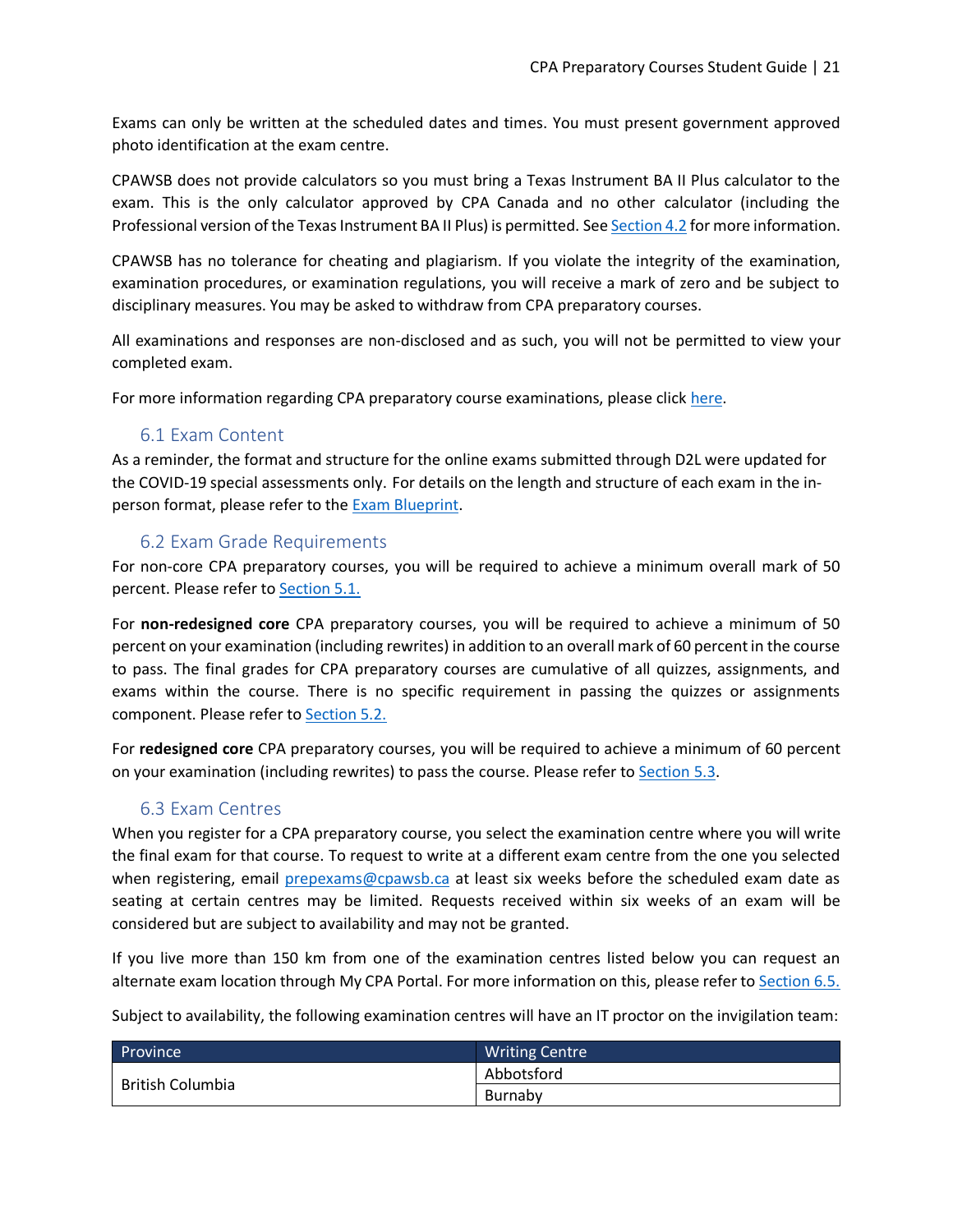Exams can only be written at the scheduled dates and times. You must present government approved photo identification at the exam centre.

CPAWSB does not provide calculators so you must bring a Texas Instrument BA II Plus calculator to the exam. This is the only calculator approved by CPA Canada and no other calculator (including the Professional version of the Texas Instrument BA II Plus) is permitted. Se[e Section 4.2](#page-13-0) for more information.

CPAWSB has no tolerance for cheating and plagiarism. If you violate the integrity of the examination, examination procedures, or examination regulations, you will receive a mark of zero and be subject to disciplinary measures. You may be asked to withdraw from CPA preparatory courses.

All examinations and responses are non-disclosed and as such, you will not be permitted to view your completed exam.

For more information regarding CPA preparatory course examinations, please clic[k here.](https://www.cpawsb.ca/current-learners/cpa-preparatory-courses/examinations)

#### 6.1 Exam Content

<span id="page-20-0"></span>As a reminder, the format and structure for the online exams submitted through D2L were updated for the COVID-19 special assessments only. For details on the length and structure of each exam in the inperson format, please refer to the **Exam Blueprint**.

#### <span id="page-20-1"></span>6.2 Exam Grade Requirements

For non-core CPA preparatory courses, you will be required to achieve a minimum overall mark of 50 percent. Please refer t[o Section 5.1.](#page-14-1)

For **non-redesigned core** CPA preparatory courses, you will be required to achieve a minimum of 50 percent on your examination (including rewrites) in addition to an overall mark of 60 percent in the course to pass. The final grades for CPA preparatory courses are cumulative of all quizzes, assignments, and exams within the course. There is no specific requirement in passing the quizzes or assignments component. Please refer to **Section 5.2.** 

For **redesigned core** CPA preparatory courses, you will be required to achieve a minimum of 60 percent on your examination (including rewrites) to pass the course. Please refer t[o Section 5.3.](#page-16-0)

## 6.3 Exam Centres

<span id="page-20-2"></span>When you register for a CPA preparatory course, you select the examination centre where you will write the final exam for that course. To request to write at a different exam centre from the one you selected when registering, email [prepexams@cpawsb.ca](mailto:prepexams@cpawsb.ca) at least six weeks before the scheduled exam date as seating at certain centres may be limited. Requests received within six weeks of an exam will be considered but are subject to availability and may not be granted.

If you live more than 150 km from one of the examination centres listed below you can request an alternate exam location through My CPA Portal. For more information on this, please refer to [Section 6.5.](#page-22-0)

Subject to availability, the following examination centres will have an IT proctor on the invigilation team:

| Province <sup>1</sup> | <b>Writing Centre</b> |
|-----------------------|-----------------------|
|                       | Abbotsford            |
| British Columbia      | Burnaby               |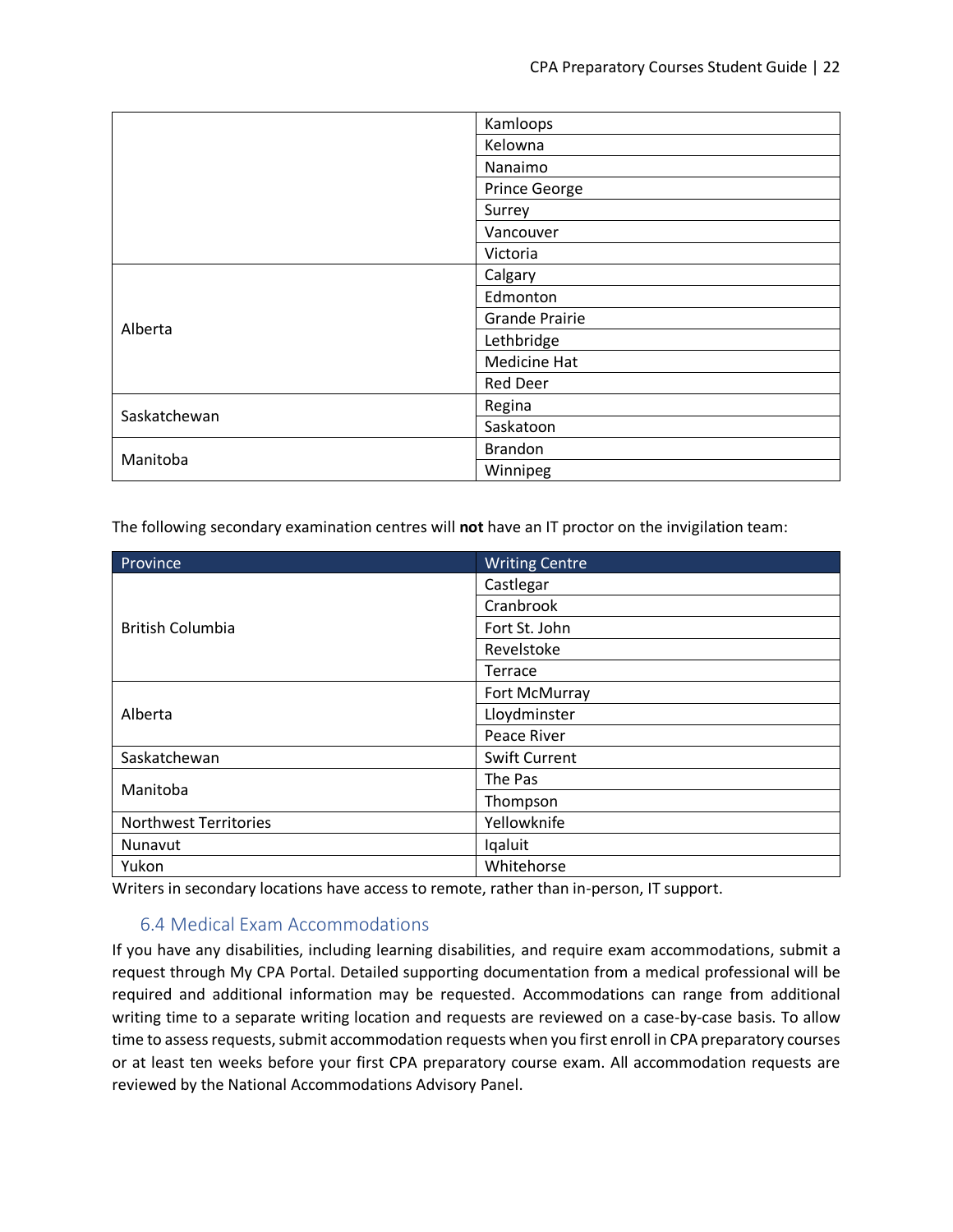|              | Kamloops              |
|--------------|-----------------------|
|              | Kelowna               |
|              | Nanaimo               |
|              | Prince George         |
|              | Surrey                |
|              | Vancouver             |
|              | Victoria              |
| Alberta      | Calgary               |
|              | Edmonton              |
|              | <b>Grande Prairie</b> |
|              | Lethbridge            |
|              | Medicine Hat          |
|              | <b>Red Deer</b>       |
| Saskatchewan | Regina                |
|              | Saskatoon             |
| Manitoba     | <b>Brandon</b>        |
|              | Winnipeg              |

The following secondary examination centres will **not** have an IT proctor on the invigilation team:

| Province                     | <b>Writing Centre</b> |
|------------------------------|-----------------------|
| <b>British Columbia</b>      | Castlegar             |
|                              | Cranbrook             |
|                              | Fort St. John         |
|                              | Revelstoke            |
|                              | Terrace               |
| Alberta                      | Fort McMurray         |
|                              | Lloydminster          |
|                              | Peace River           |
| Saskatchewan                 | <b>Swift Current</b>  |
| Manitoba                     | The Pas               |
|                              | Thompson              |
| <b>Northwest Territories</b> | Yellowknife           |
| Nunavut                      | Iqaluit               |
| Yukon                        | Whitehorse            |

Writers in secondary locations have access to remote, rather than in-person, IT support.

#### 6.4 Medical Exam Accommodations

<span id="page-21-0"></span>If you have any disabilities, including learning disabilities, and require exam accommodations, submit a request through My CPA Portal. Detailed supporting documentation from a medical professional will be required and additional information may be requested. Accommodations can range from additional writing time to a separate writing location and requests are reviewed on a case-by-case basis. To allow time to assess requests, submit accommodation requests when you first enroll in CPA preparatory courses or at least ten weeks before your first CPA preparatory course exam. All accommodation requests are reviewed by the National Accommodations Advisory Panel.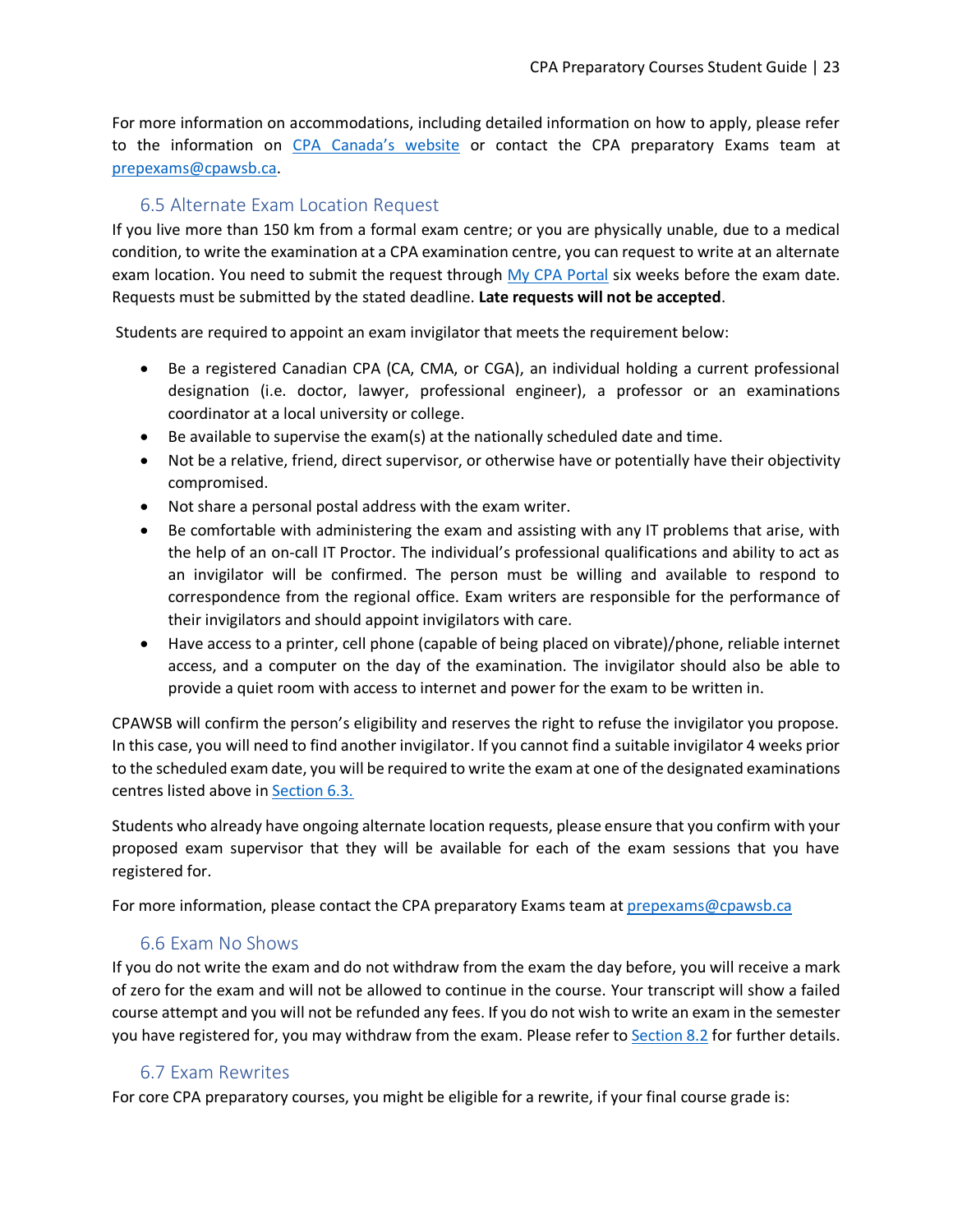For more information on accommodations, including detailed information on how to apply, please refer to the information on [CPA Canada's website](https://www.cpacanada.ca/en/become-a-cpa/accessibility-special-accommodation-requests) or contact the CPA preparatory Exams team at [prepexams@cpawsb.ca.](mailto:prepexams@cpawsb.ca)

## 6.5 Alternate Exam Location Request

<span id="page-22-0"></span>If you live more than 150 km from a formal exam centre; or you are physically unable, due to a medical condition, to write the examination at a CPA examination centre, you can request to write at an alternate exam location. You need to submit the request through My [CPA Portal](https://my.cpawsb.ca/) six weeks before the exam date. Requests must be submitted by the stated deadline. **Late requests will not be accepted**.

Students are required to appoint an exam invigilator that meets the requirement below:

- Be a registered Canadian CPA (CA, CMA, or CGA), an individual holding a current professional designation (i.e. doctor, lawyer, professional engineer), a professor or an examinations coordinator at a local university or college.
- Be available to supervise the exam(s) at the nationally scheduled date and time.
- Not be a relative, friend, direct supervisor, or otherwise have or potentially have their objectivity compromised.
- Not share a personal postal address with the exam writer.
- Be comfortable with administering the exam and assisting with any IT problems that arise, with the help of an on-call IT Proctor. The individual's professional qualifications and ability to act as an invigilator will be confirmed. The person must be willing and available to respond to correspondence from the regional office. Exam writers are responsible for the performance of their invigilators and should appoint invigilators with care.
- Have access to a printer, cell phone (capable of being placed on vibrate)/phone, reliable internet access, and a computer on the day of the examination. The invigilator should also be able to provide a quiet room with access to internet and power for the exam to be written in.

CPAWSB will confirm the person's eligibility and reserves the right to refuse the invigilator you propose. In this case, you will need to find another invigilator. If you cannot find a suitable invigilator 4 weeks prior to the scheduled exam date, you will be required to write the exam at one of the designated examinations centres listed above in [Section 6.3.](#page-20-1)

Students who already have ongoing alternate location requests, please ensure that you confirm with your proposed exam supervisor that they will be available for each of the exam sessions that you have registered for.

For more information, please contact the CPA preparatory Exams team at [prepexams@cpawsb.ca](file:///C:/Users/mwong/AppData/Local/Microsoft/Windows/INetCache/Content.Outlook/0KGCSGTE/prepexams@cpawsb.ca)

## 6.6 Exam No Shows

<span id="page-22-1"></span>If you do not write the exam and do not withdraw from the exam the day before, you will receive a mark of zero for the exam and will not be allowed to continue in the course. Your transcript will show a failed course attempt and you will not be refunded any fees. If you do not wish to write an exam in the semester you have registered for, you may withdraw from the exam. Please refer to [Section 8.2](#page-26-1) for further details.

#### 6.7 Exam Rewrites

<span id="page-22-2"></span>For core CPA preparatory courses, you might be eligible for a rewrite, if your final course grade is: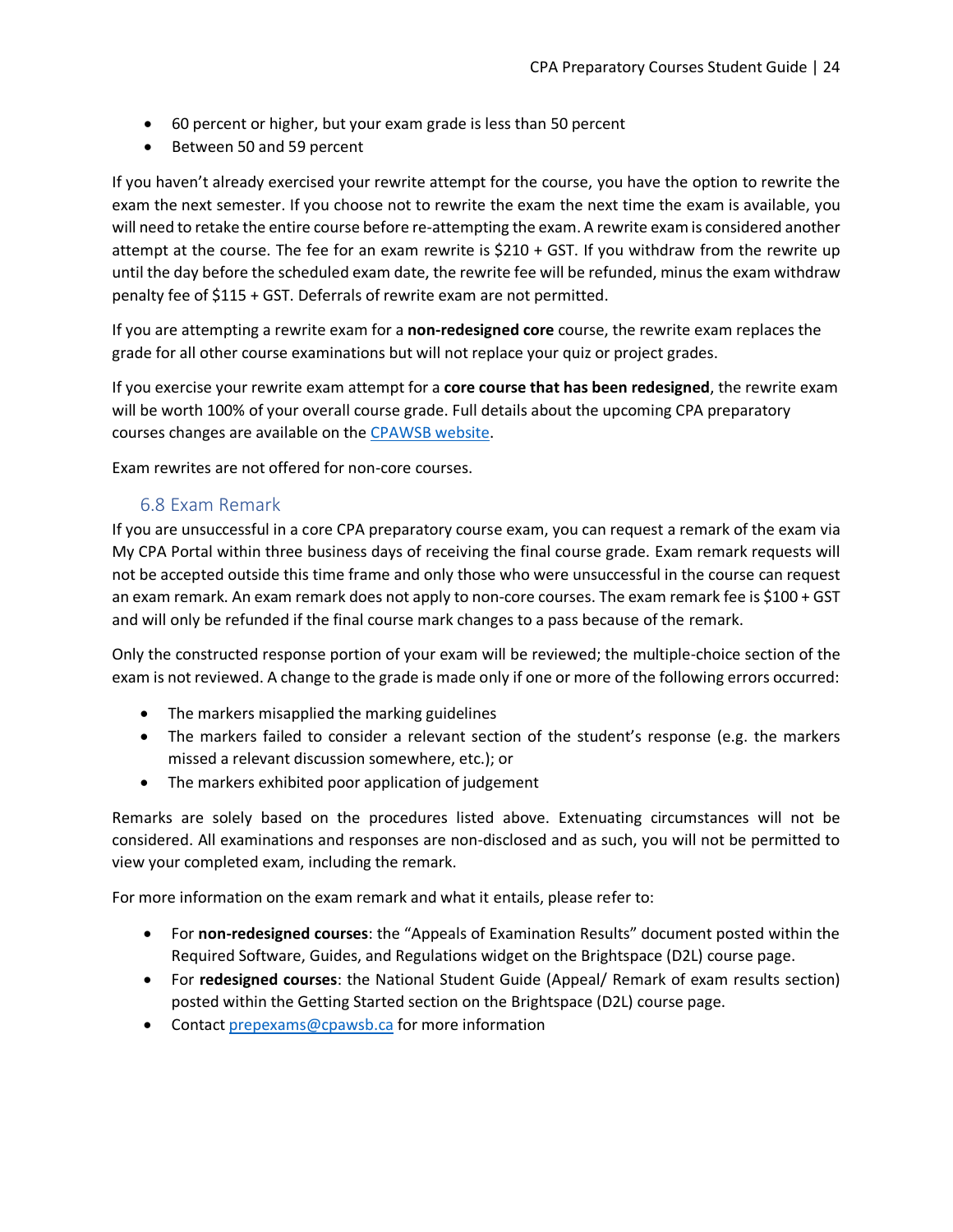- 60 percent or higher, but your exam grade is less than 50 percent
- Between 50 and 59 percent

If you haven't already exercised your rewrite attempt for the course, you have the option to rewrite the exam the next semester. If you choose not to rewrite the exam the next time the exam is available, you will need to retake the entire course before re-attempting the exam. A rewrite exam is considered another attempt at the course. The fee for an exam rewrite is \$210 + GST. If you withdraw from the rewrite up until the day before the scheduled exam date, the rewrite fee will be refunded, minus the exam withdraw penalty fee of \$115 + GST. Deferrals of rewrite exam are not permitted.

If you are attempting a rewrite exam for a **non-redesigned core** course, the rewrite exam replaces the grade for all other course examinations but will not replace your quiz or project grades.

If you exercise your rewrite exam attempt for a **core course that has been redesigned**, the rewrite exam will be worth 100% of your overall course grade. Full details about the upcoming CPA preparatory courses changes are available on the [CPAWSB website.](https://www.cpawsb.ca/current-learners/cpa-preparatory-courses/faq/course-delivery-faq/)

Exam rewrites are not offered for non-core courses.

#### 6.8 Exam Remark

<span id="page-23-0"></span>If you are unsuccessful in a core CPA preparatory course exam, you can request a remark of the exam via My CPA Portal within three business days of receiving the final course grade. Exam remark requests will not be accepted outside this time frame and only those who were unsuccessful in the course can request an exam remark. An exam remark does not apply to non-core courses. The exam remark fee is \$100 + GST and will only be refunded if the final course mark changes to a pass because of the remark.

Only the constructed response portion of your exam will be reviewed; the multiple-choice section of the exam is not reviewed. A change to the grade is made only if one or more of the following errors occurred:

- The markers misapplied the marking guidelines
- The markers failed to consider a relevant section of the student's response (e.g. the markers missed a relevant discussion somewhere, etc.); or
- The markers exhibited poor application of judgement

Remarks are solely based on the procedures listed above. Extenuating circumstances will not be considered. All examinations and responses are non-disclosed and as such, you will not be permitted to view your completed exam, including the remark.

For more information on the exam remark and what it entails, please refer to:

- For **non-redesigned courses**: the "Appeals of Examination Results" document posted within the Required Software, Guides, and Regulations widget on the Brightspace (D2L) course page.
- For **redesigned courses**: the National Student Guide (Appeal/ Remark of exam results section) posted within the Getting Started section on the Brightspace (D2L) course page.
- Contact [prepexams@cpawsb.ca](mailto:prepexams@cpawsb.ca) for more information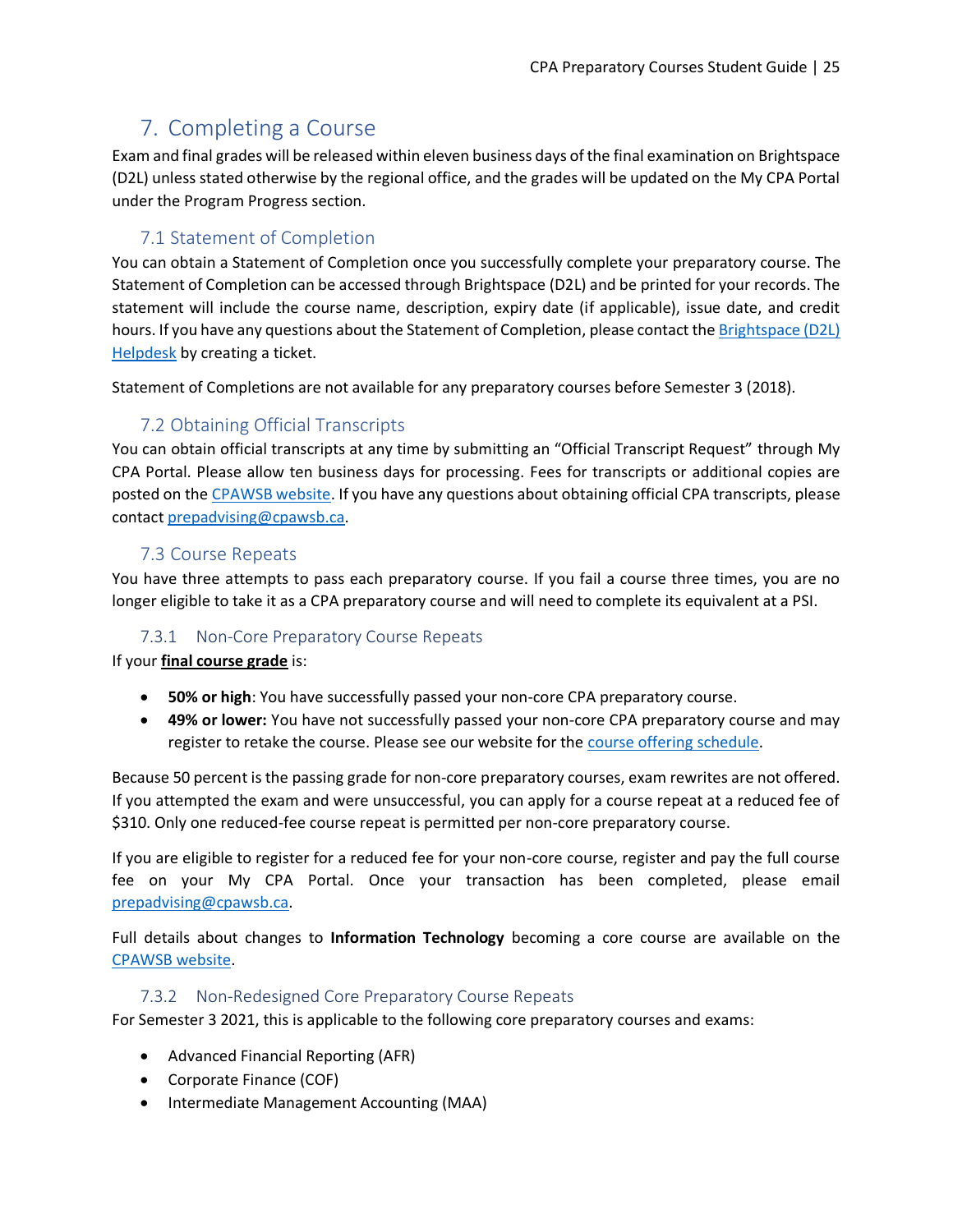# <span id="page-24-0"></span>7. Completing a Course

Exam and final grades will be released within eleven business days of the final examination on Brightspace (D2L) unless stated otherwise by the regional office, and the grades will be updated on the My CPA Portal under the Program Progress section.

## 7.1 Statement of Completion

<span id="page-24-1"></span>You can obtain a Statement of Completion once you successfully complete your preparatory course. The Statement of Completion can be accessed through Brightspace (D2L) and be printed for your records. The statement will include the course name, description, expiry date (if applicable), issue date, and credit hours. If you have any questions about the Statement of Completion, please contact the [Brightspace](https://cpacanada.service-now.com/support) (D2L) [Helpdesk](https://cpacanada.service-now.com/support) by creating a ticket.

Statement of Completions are not available for any preparatory courses before Semester 3 (2018).

# 7.2 Obtaining Official Transcripts

<span id="page-24-2"></span>You can obtain official transcripts at any time by submitting an "Official Transcript Request" through My CPA Portal. Please allow ten business days for processing. Fees for transcripts or additional copies are posted on the [CPAWSB website.](https://www.cpawsb.ca/current-learners/cpa-preparatory-courses/fees) If you have any questions about obtaining official CPA transcripts, please contact [prepadvising@cpawsb.ca.](mailto:prepadvising@cpawsb.ca)

## 7.3 Course Repeats

<span id="page-24-3"></span>You have three attempts to pass each preparatory course. If you fail a course three times, you are no longer eligible to take it as a CPA preparatory course and will need to complete its equivalent at a PSI.

## 7.3.1 Non-Core Preparatory Course Repeats

<span id="page-24-4"></span>If your **final course grade** is:

- **50% or high**: You have successfully passed your non-core CPA preparatory course.
- **49% or lower:** You have not successfully passed your non-core CPA preparatory course and may register to retake the course. Please see our website for the [course offering schedule.](https://www.cpawsb.ca/current-learners/cpa-preparatory-courses/schedules/)

Because 50 percent is the passing grade for non-core preparatory courses, exam rewrites are not offered. If you attempted the exam and were unsuccessful, you can apply for a course repeat at a reduced fee of \$310. Only one reduced-fee course repeat is permitted per non-core preparatory course.

If you are eligible to register for a reduced fee for your non-core course, register and pay the full course fee on your My CPA Portal. Once your transaction has been completed, please email [prepadvising@cpawsb.ca.](mailto:prepadvising@cpawsb.ca)

Full details about changes to **Information Technology** becoming a core course are available on the [CPAWSB website.](https://www.cpawsb.ca/future-learners/certification-program-overview/cpa-preparatory-courses-overview/upcoming-changes-to-cpa-pep-prerequisites)

#### 7.3.2 Non-Redesigned Core Preparatory Course Repeats

<span id="page-24-5"></span>For Semester 3 2021, this is applicable to the following core preparatory courses and exams:

- Advanced Financial Reporting (AFR)
- Corporate Finance (COF)
- Intermediate Management Accounting (MAA)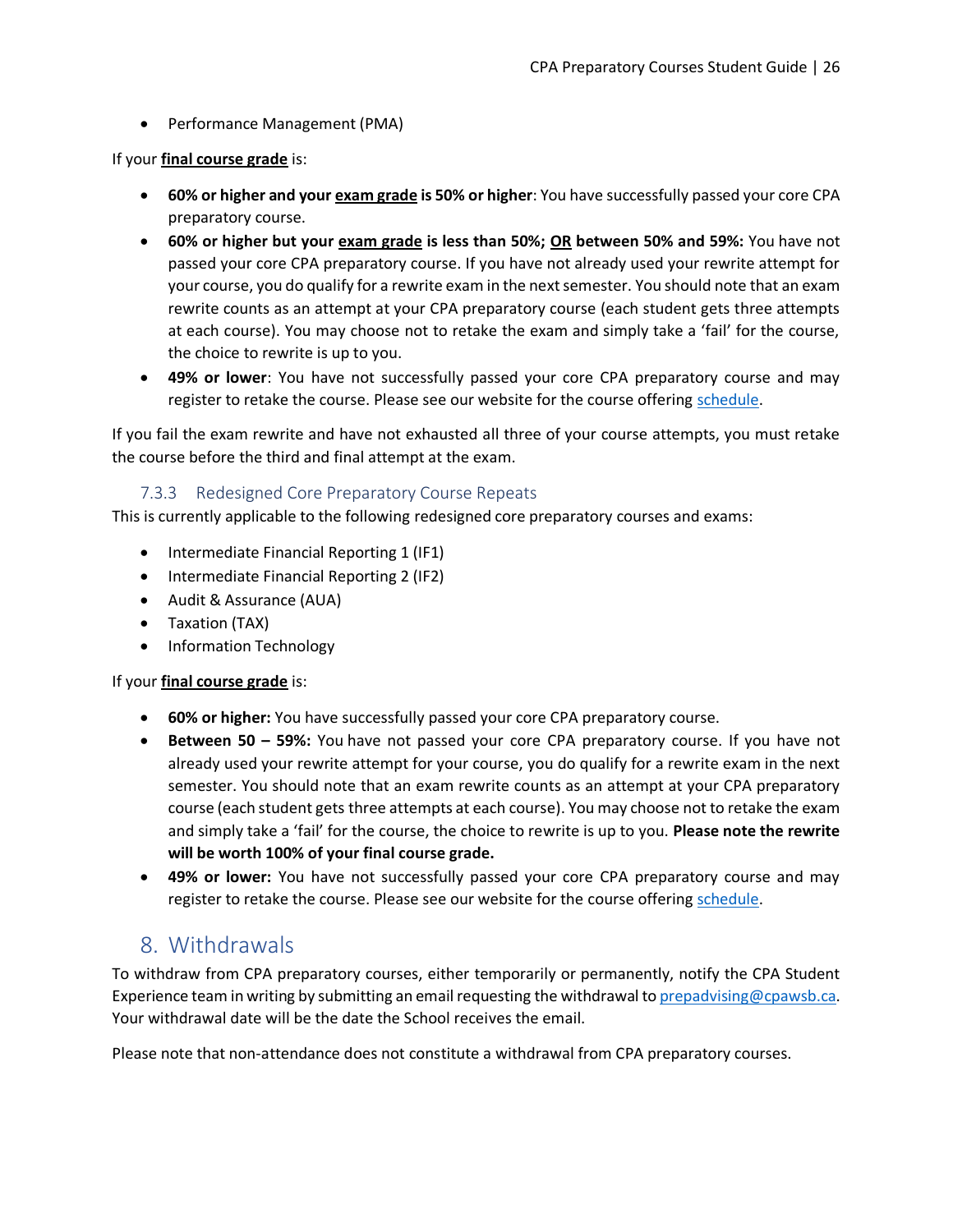• Performance Management (PMA)

If your **final course grade** is:

- **60% or higher and your exam grade is 50% or higher**: You have successfully passed your core CPA preparatory course.
- **60% or higher but your exam grade is less than 50%; OR between 50% and 59%:** You have not passed your core CPA preparatory course. If you have not already used your rewrite attempt for your course, you do qualify for a rewrite exam in the next semester. You should note that an exam rewrite counts as an attempt at your CPA preparatory course (each student gets three attempts at each course). You may choose not to retake the exam and simply take a 'fail' for the course, the choice to rewrite is up to you.
- **49% or lower**: You have not successfully passed your core CPA preparatory course and may register to retake the course. Please see our website for the course offering [schedule.](https://www.cpawsb.ca/current-learners/cpa-preparatory-courses/schedules/)

If you fail the exam rewrite and have not exhausted all three of your course attempts, you must retake the course before the third and final attempt at the exam.

#### 7.3.3 Redesigned Core Preparatory Course Repeats

<span id="page-25-0"></span>This is currently applicable to the following redesigned core preparatory courses and exams:

- Intermediate Financial Reporting 1 (IF1)
- Intermediate Financial Reporting 2 (IF2)
- Audit & Assurance (AUA)
- Taxation (TAX)
- Information Technology

#### If your **final course grade** is:

- **60% or higher:** You have successfully passed your core CPA preparatory course.
- **Between 50 – 59%:** You have not passed your core CPA preparatory course. If you have not already used your rewrite attempt for your course, you do qualify for a rewrite exam in the next semester. You should note that an exam rewrite counts as an attempt at your CPA preparatory course (each student gets three attempts at each course). You may choose not to retake the exam and simply take a 'fail' for the course, the choice to rewrite is up to you. **Please note the rewrite will be worth 100% of your final course grade.**
- **49% or lower:** You have not successfully passed your core CPA preparatory course and may register to retake the course. Please see our website for the course offering [schedule.](https://www.cpawsb.ca/current-learners/cpa-preparatory-courses/schedules/)

# <span id="page-25-1"></span>8. Withdrawals

To withdraw from CPA preparatory courses, either temporarily or permanently, notify the CPA Student Experience team in writing by submitting an email requesting the withdrawal t[o prepadvising@cpawsb.ca.](mailto:prepadvising@cpawsb.ca) Your withdrawal date will be the date the School receives the email.

Please note that non-attendance does not constitute a withdrawal from CPA preparatory courses.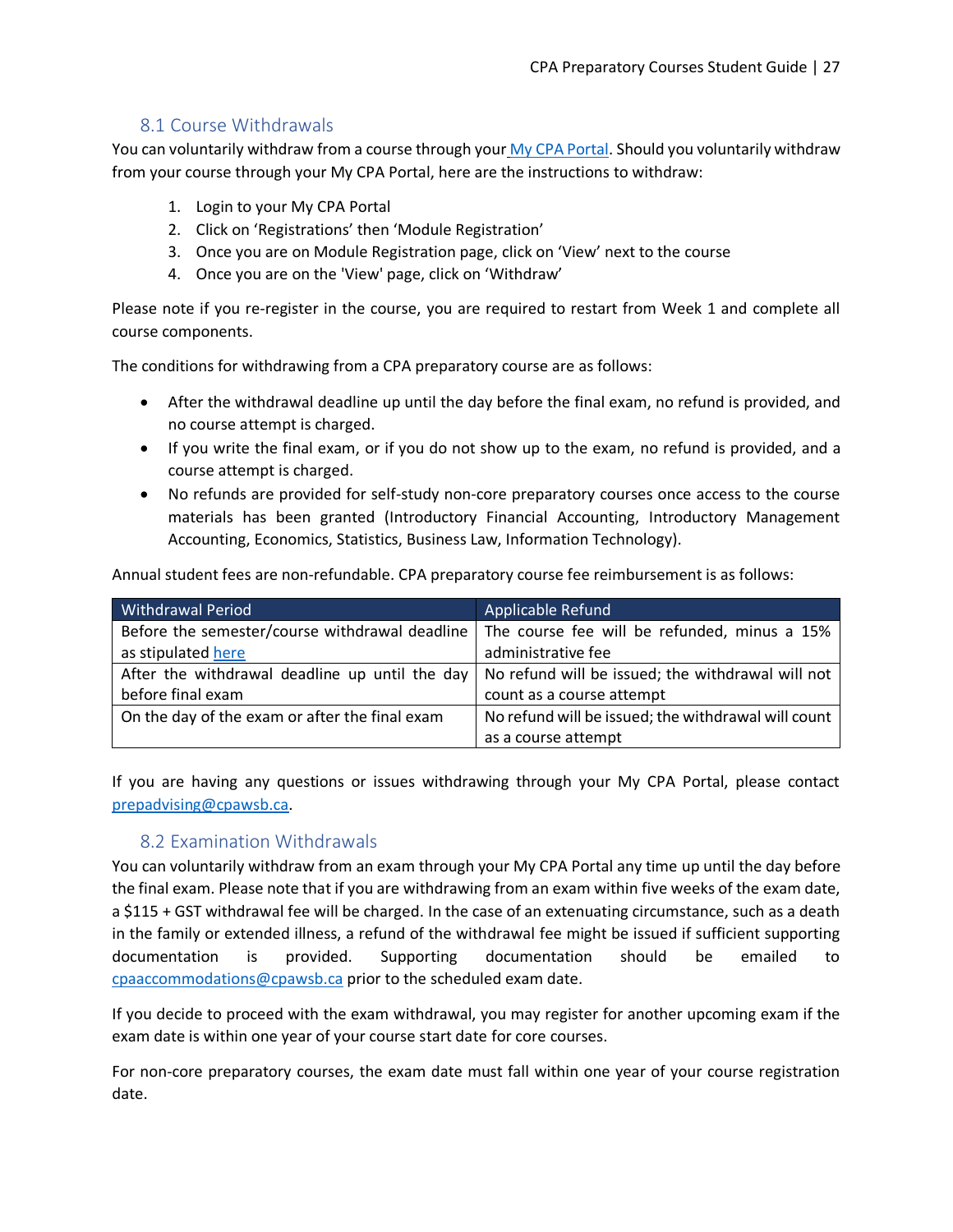## 8.1 Course Withdrawals

<span id="page-26-0"></span>You can voluntarily withdraw from a course through your [My CPA Portal.](https://my.cpawsb.ca/) Should you voluntarily withdraw from your course through your My CPA Portal, here are the instructions to withdraw:

- 1. Login to your My CPA Portal
- 2. Click on 'Registrations' then 'Module Registration'
- 3. Once you are on Module Registration page, click on 'View' next to the course
- 4. Once you are on the 'View' page, click on 'Withdraw'

Please note if you re-register in the course, you are required to restart from Week 1 and complete all course components.

The conditions for withdrawing from a CPA preparatory course are as follows:

- After the withdrawal deadline up until the day before the final exam, no refund is provided, and no course attempt is charged.
- If you write the final exam, or if you do not show up to the exam, no refund is provided, and a course attempt is charged.
- No refunds are provided for self-study non-core preparatory courses once access to the course materials has been granted (Introductory Financial Accounting, Introductory Management Accounting, Economics, Statistics, Business Law, Information Technology).

Annual student fees are non-refundable. CPA preparatory course fee reimbursement is as follows:

| <b>Withdrawal Period</b>                       | Applicable Refund                                                                                  |
|------------------------------------------------|----------------------------------------------------------------------------------------------------|
|                                                | Before the semester/course withdrawal deadline   The course fee will be refunded, minus a 15%      |
| as stipulated here                             | administrative fee                                                                                 |
|                                                | After the withdrawal deadline up until the day   No refund will be issued; the withdrawal will not |
| before final exam                              | count as a course attempt                                                                          |
| On the day of the exam or after the final exam | No refund will be issued; the withdrawal will count                                                |
|                                                | as a course attempt                                                                                |

If you are having any questions or issues withdrawing through your My CPA Portal, please contact [prepadvising@cpawsb.ca.](mailto:prepadvising@cpawsb.ca)

## 8.2 Examination Withdrawals

<span id="page-26-1"></span>You can voluntarily withdraw from an exam through your My CPA Portal any time up until the day before the final exam. Please note that if you are withdrawing from an exam within five weeks of the exam date, a \$115 + GST withdrawal fee will be charged. In the case of an extenuating circumstance, such as a death in the family or extended illness, a refund of the withdrawal fee might be issued if sufficient supporting documentation is provided. Supporting documentation should be emailed to [cpaaccommodations@cpawsb.ca](mailto:cpaaccommodations@cpawsb.ca) prior to the scheduled exam date.

If you decide to proceed with the exam withdrawal, you may register for another upcoming exam if the exam date is within one year of your course start date for core courses.

For non-core preparatory courses, the exam date must fall within one year of your course registration date.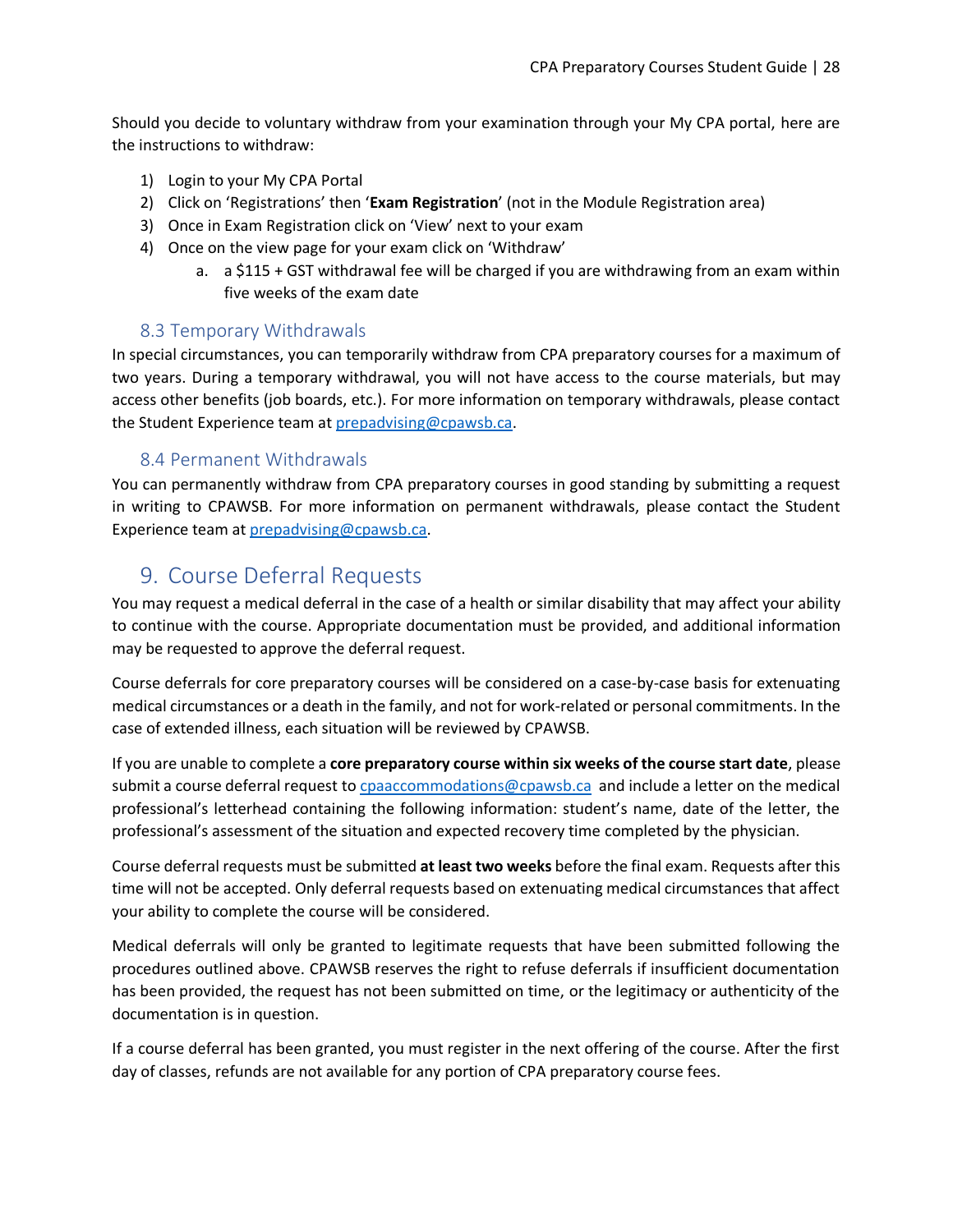Should you decide to voluntary withdraw from your examination through your My CPA portal, here are the instructions to withdraw:

- 1) Login to your My CPA Portal
- 2) Click on 'Registrations' then '**Exam Registration**' (not in the Module Registration area)
- 3) Once in Exam Registration click on 'View' next to your exam
- 4) Once on the view page for your exam click on 'Withdraw'
	- a. a \$115 + GST withdrawal fee will be charged if you are withdrawing from an exam within five weeks of the exam date

#### 8.3 Temporary Withdrawals

<span id="page-27-0"></span>In special circumstances, you can temporarily withdraw from CPA preparatory courses for a maximum of two years. During a temporary withdrawal, you will not have access to the course materials, but may access other benefits (job boards, etc.). For more information on temporary withdrawals, please contact the Student Experience team at [prepadvising@cpawsb.ca.](mailto:prepadvising@cpawsb.ca)

#### 8.4 Permanent Withdrawals

<span id="page-27-1"></span>You can permanently withdraw from CPA preparatory courses in good standing by submitting a request in writing to CPAWSB. For more information on permanent withdrawals, please contact the Student Experience team a[t prepadvising@cpawsb.ca.](mailto:prepadvising@cpawsb.ca)

# <span id="page-27-2"></span>9. Course Deferral Requests

You may request a medical deferral in the case of a health or similar disability that may affect your ability to continue with the course. Appropriate documentation must be provided, and additional information may be requested to approve the deferral request.

Course deferrals for core preparatory courses will be considered on a case-by-case basis for extenuating medical circumstances or a death in the family, and not for work-related or personal commitments. In the case of extended illness, each situation will be reviewed by CPAWSB.

If you are unable to complete a **core preparatory course within six weeks of the course start date**, please submit a course deferral request t[o cpaaccommodations@cpawsb.ca](mailto:cpaaccommodations@cpawsb.ca) and include a letter on the medical professional's letterhead containing the following information: student's name, date of the letter, the professional's assessment of the situation and expected recovery time completed by the physician.

Course deferral requests must be submitted **at least two weeks** before the final exam. Requests after this time will not be accepted. Only deferral requests based on extenuating medical circumstances that affect your ability to complete the course will be considered.

Medical deferrals will only be granted to legitimate requests that have been submitted following the procedures outlined above. CPAWSB reserves the right to refuse deferrals if insufficient documentation has been provided, the request has not been submitted on time, or the legitimacy or authenticity of the documentation is in question.

If a course deferral has been granted, you must register in the next offering of the course. After the first day of classes, refunds are not available for any portion of CPA preparatory course fees.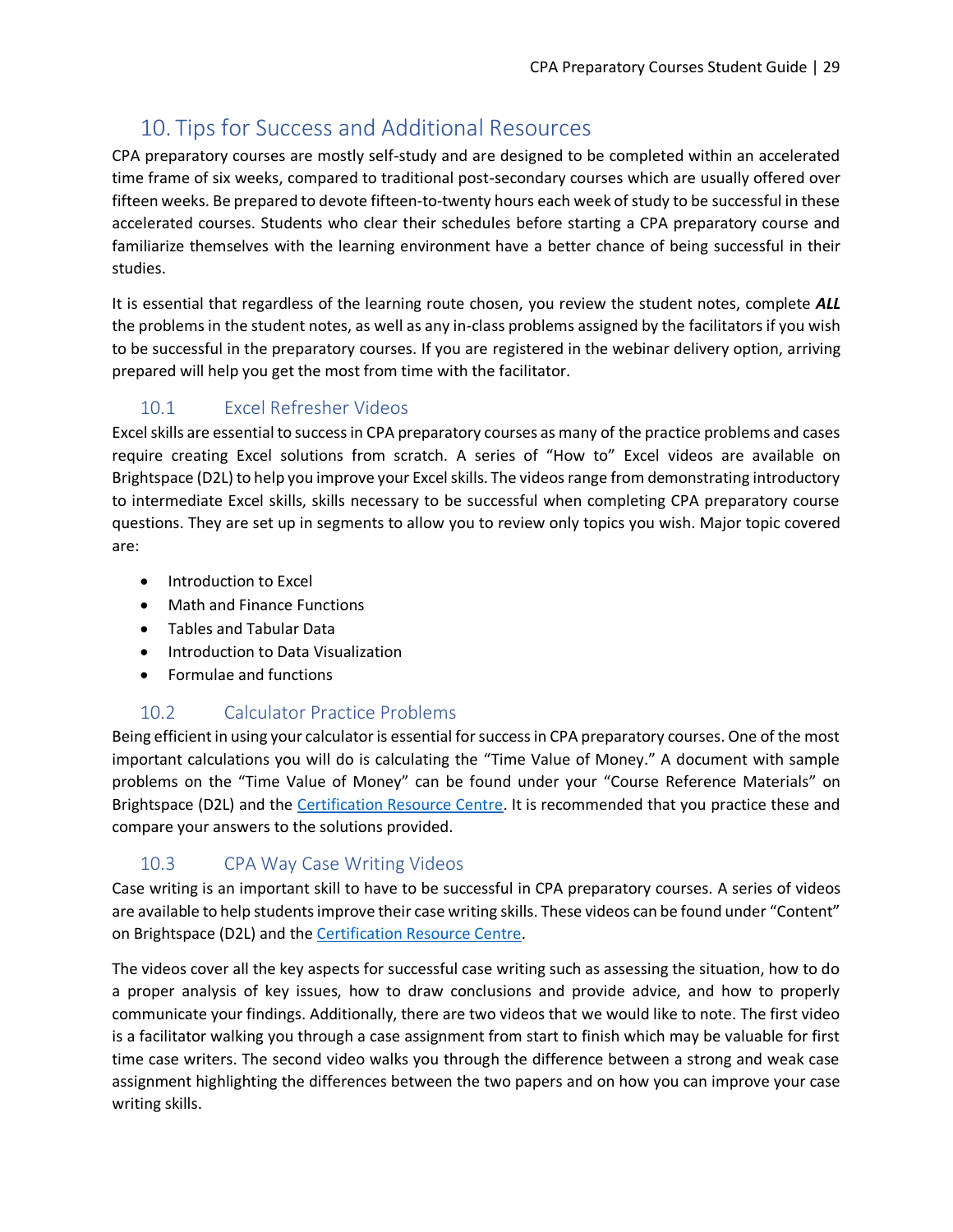# <span id="page-28-0"></span>10. Tips for Success and Additional Resources

CPA preparatory courses are mostly self-study and are designed to be completed within an accelerated time frame of six weeks, compared to traditional post-secondary courses which are usually offered over fifteen weeks. Be prepared to devote fifteen-to-twenty hours each week of study to be successful in these accelerated courses. Students who clear their schedules before starting a CPA preparatory course and familiarize themselves with the learning environment have a better chance of being successful in their studies.

It is essential that regardless of the learning route chosen, you review the student notes, complete *ALL* the problems in the student notes, as well as any in-class problems assigned by the facilitators if you wish to be successful in the preparatory courses. If you are registered in the webinar delivery option, arriving prepared will help you get the most from time with the facilitator.

# <span id="page-28-1"></span>10.1 Excel Refresher Videos

Excel skills are essential to success in CPA preparatory courses as many of the practice problems and cases require creating Excel solutions from scratch. A series of "How to" Excel videos are available on Brightspace (D2L) to help you improve your Excel skills. The videos range from demonstrating introductory to intermediate Excel skills, skills necessary to be successful when completing CPA preparatory course questions. They are set up in segments to allow you to review only topics you wish. Major topic covered are:

- Introduction to Excel
- Math and Finance Functions
- Tables and Tabular Data
- Introduction to Data Visualization
- Formulae and functions

## 10.2 Calculator Practice Problems

<span id="page-28-2"></span>Being efficient in using your calculator is essential for success in CPA preparatory courses. One of the most important calculations you will do is calculating the "Time Value of Money." A document with sample problems on the "Time Value of Money" can be found under your "Course Reference Materials" on Brightspace (D2L) and the [Certification Resource Centre.](https://www.cpacanada.ca/en/become-a-cpa/certification-resource-centre/resources-for-cpa-preparatory-courses) It is recommended that you practice these and compare your answers to the solutions provided.

# 10.3 CPA Way Case Writing Videos

<span id="page-28-3"></span>Case writing is an important skill to have to be successful in CPA preparatory courses. A series of videos are available to help students improve their case writing skills. These videos can be found under "Content" on Brightspace (D2L) and the [Certification Resource Centre.](https://www.cpacanada.ca/en/become-a-cpa/certification-resource-centre/resources-for-cpa-preparatory-courses)

The videos cover all the key aspects for successful case writing such as assessing the situation, how to do a proper analysis of key issues, how to draw conclusions and provide advice, and how to properly communicate your findings. Additionally, there are two videos that we would like to note. The first video is a facilitator walking you through a case assignment from start to finish which may be valuable for first time case writers. The second video walks you through the difference between a strong and weak case assignment highlighting the differences between the two papers and on how you can improve your case writing skills.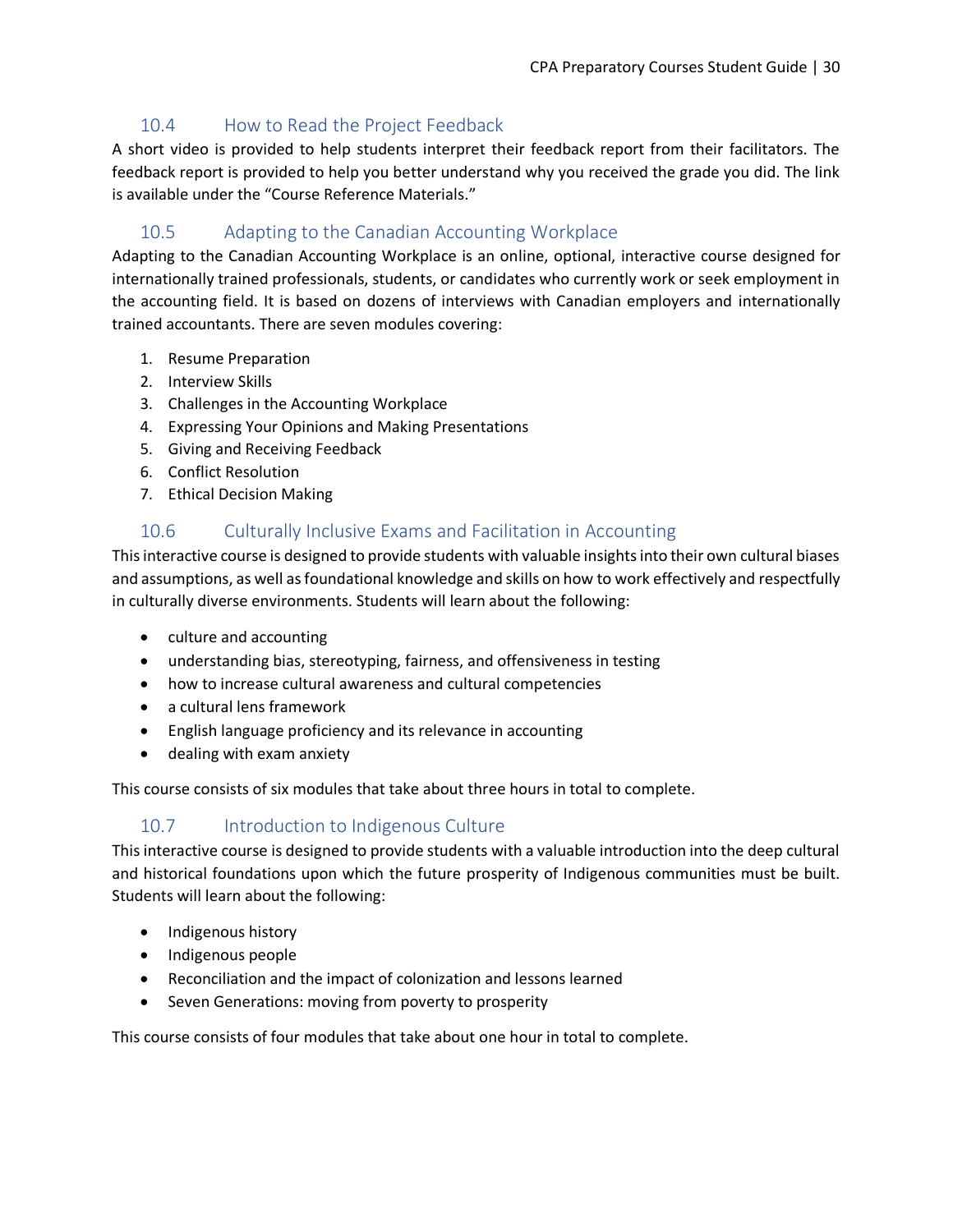# <span id="page-29-0"></span>10.4 How to Read the Project Feedback

A short video is provided to help students interpret their feedback report from their facilitators. The feedback report is provided to help you better understand why you received the grade you did. The link is available under the "Course Reference Materials."

# <span id="page-29-1"></span>10.5 Adapting to the Canadian Accounting Workplace

Adapting to the Canadian Accounting Workplace is an online, optional, interactive course designed for internationally trained professionals, students, or candidates who currently work or seek employment in the accounting field. It is based on dozens of interviews with Canadian employers and internationally trained accountants. There are seven modules covering:

- 1. Resume Preparation
- 2. Interview Skills
- 3. Challenges in the Accounting Workplace
- 4. Expressing Your Opinions and Making Presentations
- 5. Giving and Receiving Feedback
- 6. Conflict Resolution
- 7. Ethical Decision Making

# 10.6 Culturally Inclusive Exams and Facilitation in Accounting

<span id="page-29-2"></span>This interactive course is designed to provide students with valuable insights into their own cultural biases and assumptions, as well as foundational knowledge and skills on how to work effectively and respectfully in culturally diverse environments. Students will learn about the following:

- culture and accounting
- understanding bias, stereotyping, fairness, and offensiveness in testing
- how to increase cultural awareness and cultural competencies
- a cultural lens framework
- English language proficiency and its relevance in accounting
- dealing with exam anxiety

This course consists of six modules that take about three hours in total to complete.

# 10.7 Introduction to Indigenous Culture

<span id="page-29-3"></span>This interactive course is designed to provide students with a valuable introduction into the deep cultural and historical foundations upon which the future prosperity of Indigenous communities must be built. Students will learn about the following:

- Indigenous history
- Indigenous people
- Reconciliation and the impact of colonization and lessons learned
- Seven Generations: moving from poverty to prosperity

This course consists of four modules that take about one hour in total to complete.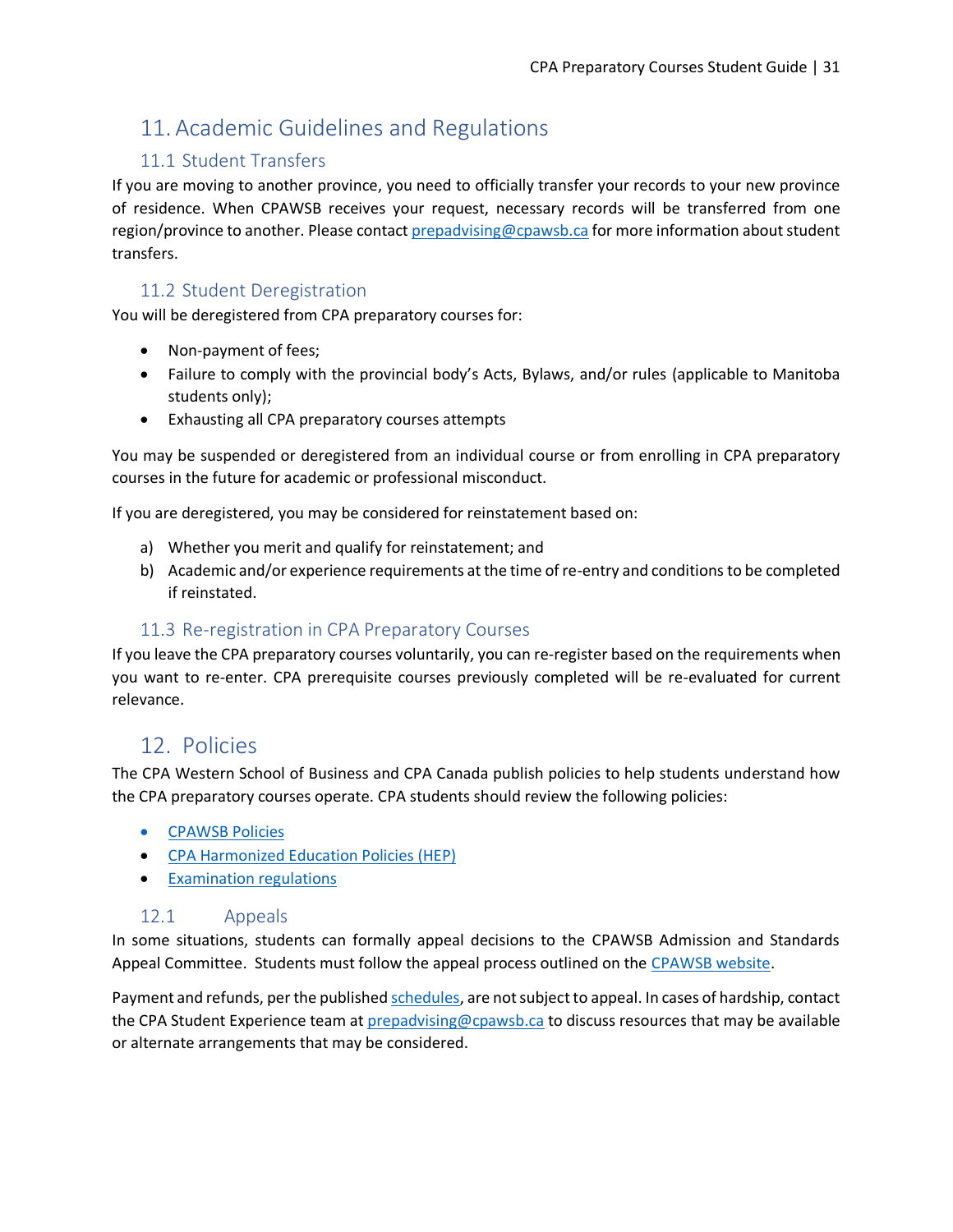# <span id="page-30-0"></span>11. Academic Guidelines and Regulations

# 11.1 Student Transfers

<span id="page-30-1"></span>If you are moving to another province, you need to officially transfer your records to your new province of residence. When CPAWSB receives your request, necessary records will be transferred from one region/province to another. Please contact [prepadvising@cpawsb.ca](mailto:prepadvising@cpawsb.ca) for more information about student transfers.

# 11.2 Student Deregistration

<span id="page-30-2"></span>You will be deregistered from CPA preparatory courses for:

- Non-payment of fees;
- Failure to comply with the provincial body's Acts, Bylaws, and/or rules (applicable to Manitoba students only);
- Exhausting all CPA preparatory courses attempts

You may be suspended or deregistered from an individual course or from enrolling in CPA preparatory courses in the future for academic or professional misconduct.

If you are deregistered, you may be considered for reinstatement based on:

- a) Whether you merit and qualify for reinstatement; and
- b) Academic and/or experience requirements at the time of re-entry and conditions to be completed if reinstated.

# 11.3 Re-registration in CPA Preparatory Courses

<span id="page-30-3"></span>If you leave the CPA preparatory courses voluntarily, you can re-register based on the requirements when you want to re-enter. CPA prerequisite courses previously completed will be re-evaluated for current relevance.

# <span id="page-30-4"></span>12. Policies

The CPA Western School of Business and CPA Canada publish policies to help students understand how the CPA preparatory courses operate. CPA students should review the following policies:

- [CPAWSB Policies](https://www.cpawsb.ca/current-learners/learning-standards)
- [CPA Harmonized Education Policies \(HEP\)](https://www.cpacanada.ca/en/become-a-cpa/pathways-to-becoming-a-cpa/national-education-resources/cpa-harmonized-education-policies)
- [Examination](https://www.cpacanada.ca/en/become-a-cpa/cpa-prep-becoming-a-cpa/examination-regulations-for-cpa-preparatory-courses) regulations

## 12.1 Appeals

<span id="page-30-5"></span>In some situations, students can formally appeal decisions to the CPAWSB Admission and Standards Appeal Committee. Students must follow the appeal process outlined on the [CPAWSB website.](https://www.cpawsb.ca/current-learners/learning-standards/cpa-appeals/)

Payment and refunds, per the publishe[d schedules,](https://www.cpawsb.ca/current-learners/cpa-preparatory-courses/fees) are not subject to appeal. In cases of hardship, contact the CPA Student Experience team at [prepadvising@cpawsb.ca](mailto:prepadvising@cpawsb.ca) to discuss resources that may be available or alternate arrangements that may be considered.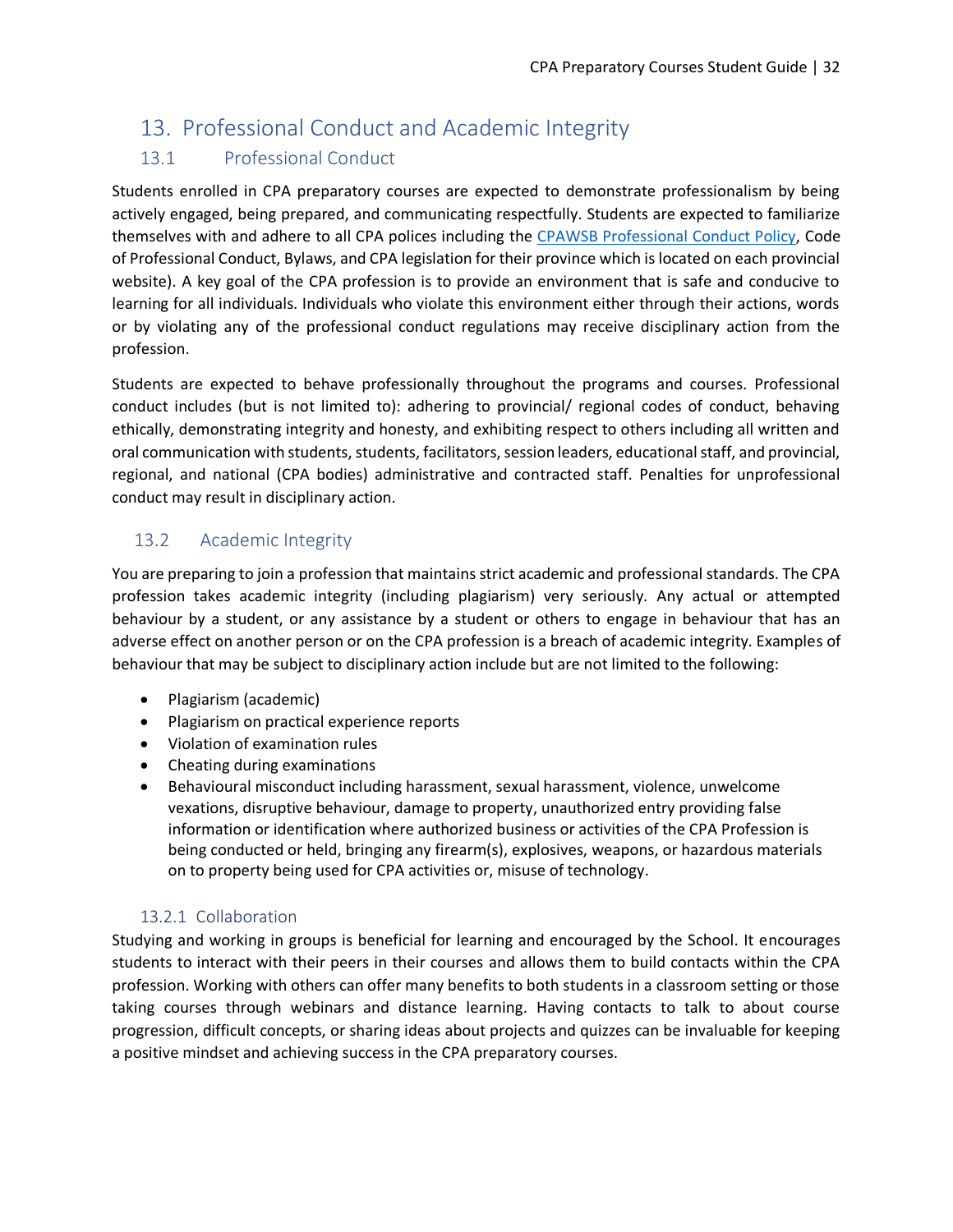# <span id="page-31-0"></span>13. Professional Conduct and Academic Integrity

# <span id="page-31-1"></span>13.1 Professional Conduct

Students enrolled in CPA preparatory courses are expected to demonstrate professionalism by being actively engaged, being prepared, and communicating respectfully. Students are expected to familiarize themselves with and adhere to all CPA polices including the [CPAWSB Professional Conduct Policy,](https://www.cpawsb.ca/current-learners/learning-standards/) Code of Professional Conduct, Bylaws, and CPA legislation for their province which is located on each provincial website). A key goal of the CPA profession is to provide an environment that is safe and conducive to learning for all individuals. Individuals who violate this environment either through their actions, words or by violating any of the professional conduct regulations may receive disciplinary action from the profession.

Students are expected to behave professionally throughout the programs and courses. Professional conduct includes (but is not limited to): adhering to provincial/ regional codes of conduct, behaving ethically, demonstrating integrity and honesty, and exhibiting respect to others including all written and oral communication with students, students, facilitators, session leaders, educational staff, and provincial, regional, and national (CPA bodies) administrative and contracted staff. Penalties for unprofessional conduct may result in disciplinary action.

# <span id="page-31-2"></span>13.2 Academic Integrity

You are preparing to join a profession that maintains strict academic and professional standards. The CPA profession takes academic integrity (including plagiarism) very seriously. Any actual or attempted behaviour by a student, or any assistance by a student or others to engage in behaviour that has an adverse effect on another person or on the CPA profession is a breach of academic integrity. Examples of behaviour that may be subject to disciplinary action include but are not limited to the following:

- Plagiarism (academic)
- Plagiarism on practical experience reports
- Violation of examination rules
- Cheating during examinations
- Behavioural misconduct including harassment, sexual harassment, violence, unwelcome vexations, disruptive behaviour, damage to property, unauthorized entry providing false information or identification where authorized business or activities of the CPA Profession is being conducted or held, bringing any firearm(s), explosives, weapons, or hazardous materials on to property being used for CPA activities or, misuse of technology.

## 13.2.1 Collaboration

<span id="page-31-3"></span>Studying and working in groups is beneficial for learning and encouraged by the School. It encourages students to interact with their peers in their courses and allows them to build contacts within the CPA profession. Working with others can offer many benefits to both students in a classroom setting or those taking courses through webinars and distance learning. Having contacts to talk to about course progression, difficult concepts, or sharing ideas about projects and quizzes can be invaluable for keeping a positive mindset and achieving success in the CPA preparatory courses.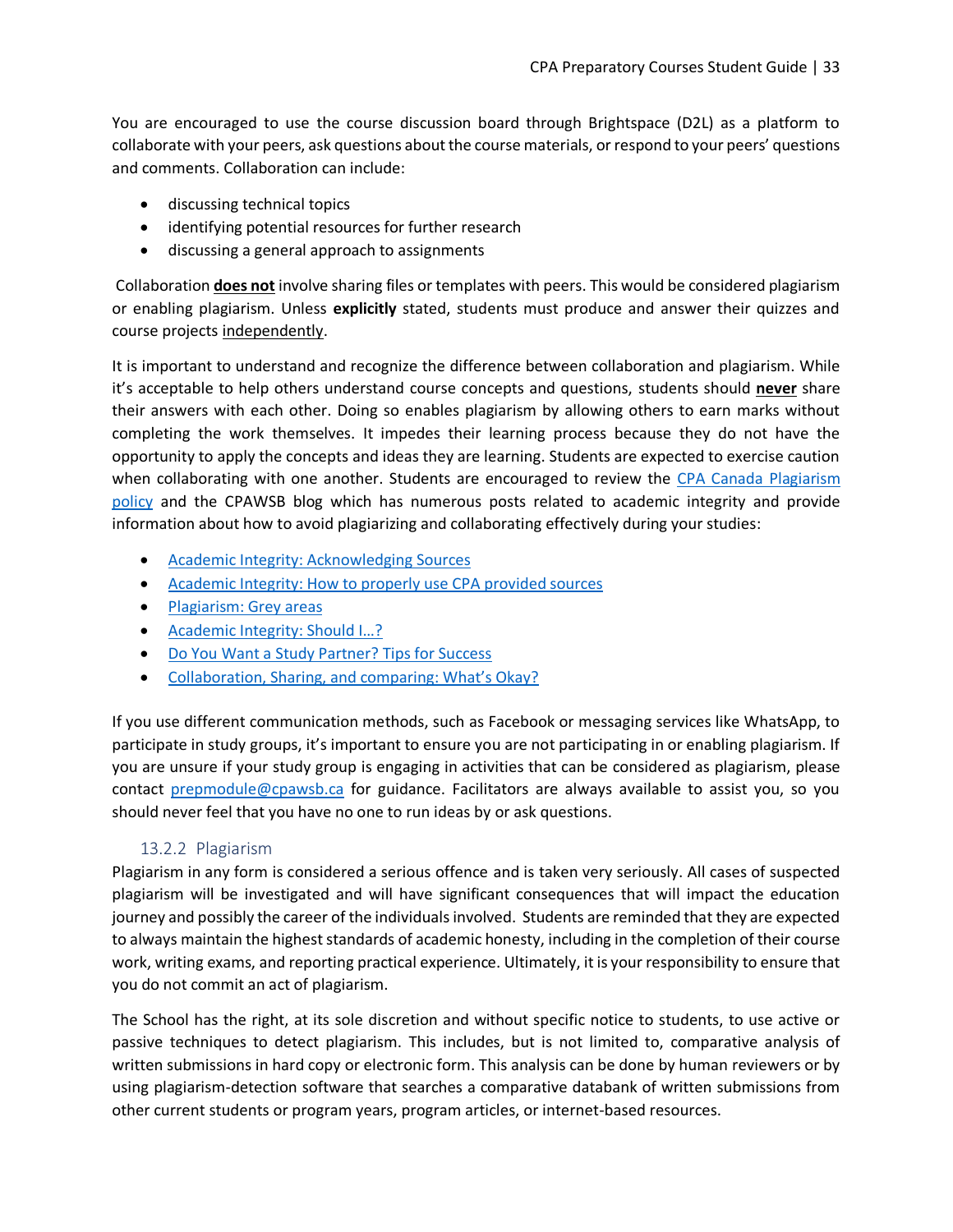You are encouraged to use the course discussion board through Brightspace (D2L) as a platform to collaborate with your peers, ask questions about the course materials, or respond to your peers' questions and comments. Collaboration can include:

- discussing technical topics
- identifying potential resources for further research
- discussing a general approach to assignments

Collaboration **does not** involve sharing files or templates with peers. This would be considered plagiarism or enabling plagiarism. Unless **explicitly** stated, students must produce and answer their quizzes and course projects independently.

It is important to understand and recognize the difference between collaboration and plagiarism. While it's acceptable to help others understand course concepts and questions, students should **never** share their answers with each other. Doing so enables plagiarism by allowing others to earn marks without completing the work themselves. It impedes their learning process because they do not have the opportunity to apply the concepts and ideas they are learning. Students are expected to exercise caution when collaborating with one another. Students are encouraged to review the CPA Canada Plagiarism [policy](https://www.cpawsb.ca/current-learners/learning-standards/) and the CPAWSB blog which has numerous posts related to academic integrity and provide information about how to avoid plagiarizing and collaborating effectively during your studies:

- [Academic Integrity: Acknowledging Sources](https://www.cpawsb.ca/news/news-and-blog/2017/academic-integrity-acknowledging-sources/)
- [Academic Integrity: How to properly use CPA provided sources](https://www.cpawsb.ca/news/news-and-blog/2019/academic-integrity-how-to-properly-use-cpa-provided-sources/)
- [Plagiarism: Grey areas](https://www.cpawsb.ca/news/news-and-blog/2017/plagiarism-grey-areas/)
- Academic Integrity: Should I...?
- [Do You Want a Study Partner? Tips for Success](https://www.cpawsb.ca/news/news-and-blog/2017/do-you-want-a-study-partner-tips-for-success/)
- [Collaboration, Sharing, and comparing: What's Okay?](https://www.cpawsb.ca/news/news-and-blog/2017/collaboration-sharing-and-comparing-what-s-okay/)

If you use different communication methods, such as Facebook or messaging services like WhatsApp, to participate in study groups, it's important to ensure you are not participating in or enabling plagiarism. If you are unsure if your study group is engaging in activities that can be considered as plagiarism, please contact [prepmodule@cpawsb.ca](mailto:prepmodule@cpawsb.ca) for guidance. Facilitators are always available to assist you, so you should never feel that you have no one to run ideas by or ask questions.

#### 13.2.2 Plagiarism

<span id="page-32-0"></span>Plagiarism in any form is considered a serious offence and is taken very seriously. All cases of suspected plagiarism will be investigated and will have significant consequences that will impact the education journey and possibly the career of the individuals involved. Students are reminded that they are expected to always maintain the highest standards of academic honesty, including in the completion of their course work, writing exams, and reporting practical experience. Ultimately, it is your responsibility to ensure that you do not commit an act of plagiarism.

The School has the right, at its sole discretion and without specific notice to students, to use active or passive techniques to detect plagiarism. This includes, but is not limited to, comparative analysis of written submissions in hard copy or electronic form. This analysis can be done by human reviewers or by using plagiarism-detection software that searches a comparative databank of written submissions from other current students or program years, program articles, or internet-based resources.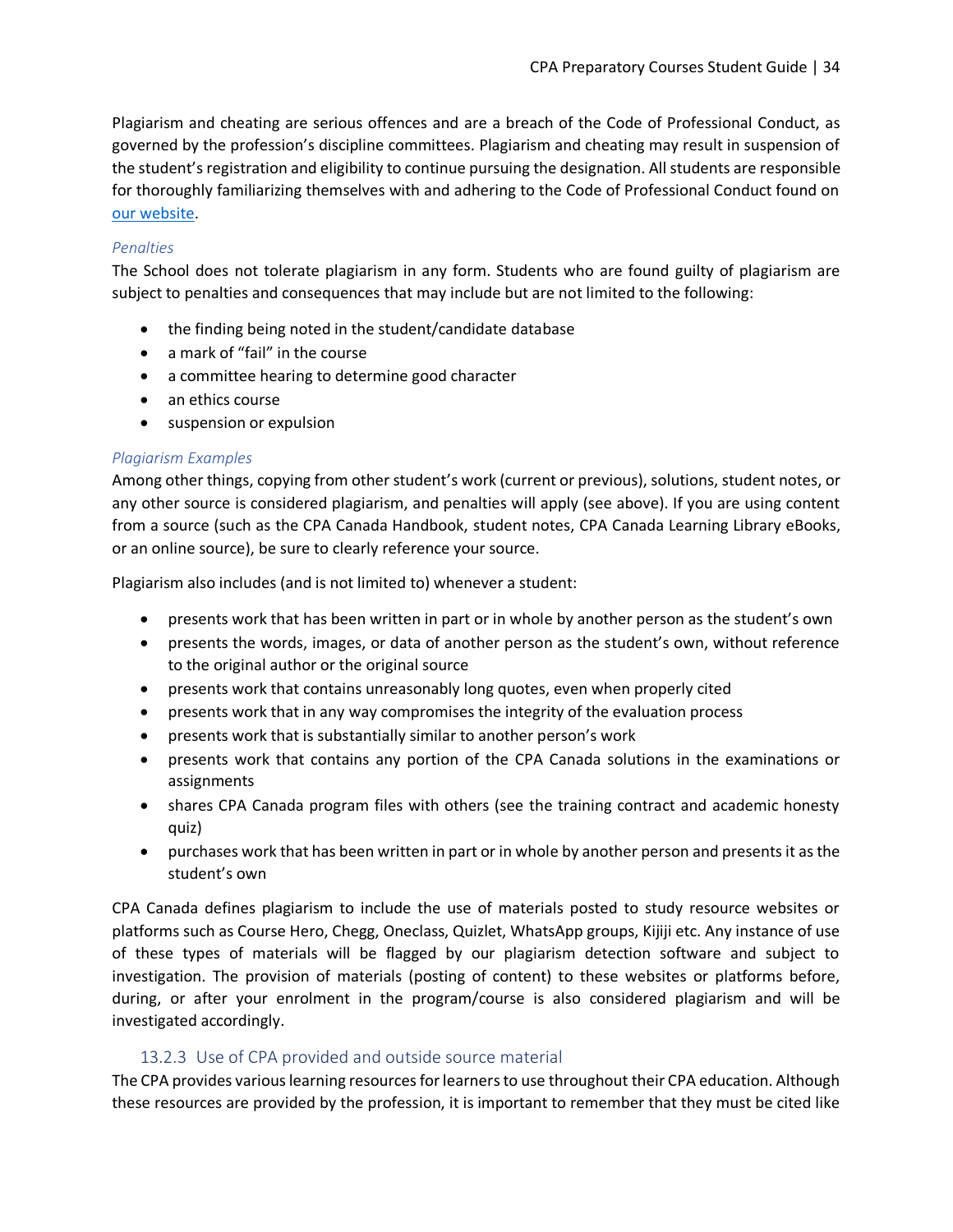Plagiarism and cheating are serious offences and are a breach of the Code of Professional Conduct, as governed by the profession's discipline committees. Plagiarism and cheating may result in suspension of the student's registration and eligibility to continue pursuing the designation. All students are responsible for thoroughly familiarizing themselves with and adhering to the Code of Professional Conduct found on [our website.](https://www.cpawsb.ca/current-learners/learning-standards/)

#### *Penalties*

The School does not tolerate plagiarism in any form. Students who are found guilty of plagiarism are subject to penalties and consequences that may include but are not limited to the following:

- the finding being noted in the student/candidate database
- a mark of "fail" in the course
- a committee hearing to determine good character
- an ethics course
- suspension or expulsion

#### *Plagiarism Examples*

Among other things, copying from other student's work (current or previous), solutions, student notes, or any other source is considered plagiarism, and penalties will apply (see above). If you are using content from a source (such as the CPA Canada Handbook, student notes, CPA Canada Learning Library eBooks, or an online source), be sure to clearly reference your source.

Plagiarism also includes (and is not limited to) whenever a student:

- presents work that has been written in part or in whole by another person as the student's own
- presents the words, images, or data of another person as the student's own, without reference to the original author or the original source
- presents work that contains unreasonably long quotes, even when properly cited
- presents work that in any way compromises the integrity of the evaluation process
- presents work that is substantially similar to another person's work
- presents work that contains any portion of the CPA Canada solutions in the examinations or assignments
- shares CPA Canada program files with others (see the training contract and academic honesty quiz)
- purchases work that has been written in part or in whole by another person and presents it as the student's own

CPA Canada defines plagiarism to include the use of materials posted to study resource websites or platforms such as Course Hero, Chegg, Oneclass, Quizlet, WhatsApp groups, Kijiji etc. Any instance of use of these types of materials will be flagged by our plagiarism detection software and subject to investigation. The provision of materials (posting of content) to these websites or platforms before, during, or after your enrolment in the program/course is also considered plagiarism and will be investigated accordingly.

## 13.2.3 Use of CPA provided and outside source material

<span id="page-33-0"></span>The CPA provides various learning resources for learners to use throughout their CPA education. Although these resources are provided by the profession, it is important to remember that they must be cited like